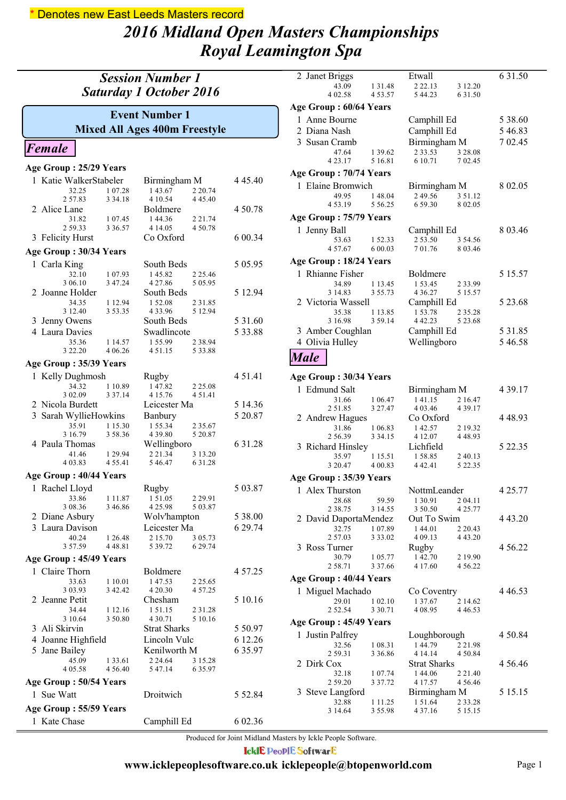## *2016 Midland Open Masters Championships Royal Leamington Spa* \* Denotes new East Leeds Masters record

| <b>Session Number 1</b><br><b>Saturday 1 October 2016</b> |                                                               |                    |  |  |
|-----------------------------------------------------------|---------------------------------------------------------------|--------------------|--|--|
|                                                           | <b>Event Number 1</b><br><b>Mixed All Ages 400m Freestyle</b> |                    |  |  |
| Female                                                    |                                                               |                    |  |  |
| Age Group: 25/29 Years                                    |                                                               |                    |  |  |
| 1 Katie WalkerStabeler                                    | Birmingham M                                                  | 4 4 5 4 0          |  |  |
| 32.25<br>1 07.28                                          | 143.67<br>2 20.74                                             |                    |  |  |
| 2 57.83<br>3 3 4 1 8<br>2 Alice Lane                      | 4 10.54<br>4 4 5 4 0<br>Boldmere                              | 4 50.78            |  |  |
| 31.82<br>1 07.45                                          | 144.36<br>2 2 1 . 74                                          |                    |  |  |
| 259.33<br>3 3 6 5 7                                       | 4 14 05<br>4 50.78                                            |                    |  |  |
| 3 Felicity Hurst                                          | Co Oxford                                                     | 6 00.34            |  |  |
| Age Group: 30/34 Years                                    |                                                               |                    |  |  |
| 1 Carla King<br>32.10<br>1 07.93                          | South Beds<br>145.82<br>2 2 5 4 6                             | 5 0 5 9 5          |  |  |
| 3 06.10<br>3 47.24                                        | 4 27.86<br>5 05.95                                            |                    |  |  |
| 2 Joanne Holder                                           | South Beds                                                    | 5 12.94            |  |  |
| 34.35<br>1 12.94<br>3 12.40<br>3 5 3 . 3 5                | 1 52.08<br>2 3 1 . 8 5<br>4 3 3 . 9 6<br>5 12.94              |                    |  |  |
| 3 Jenny Owens                                             | South Beds                                                    | 5 3 1 .60          |  |  |
| 4 Laura Davies                                            | Swadlincote                                                   | 5 33.88            |  |  |
| 35.36<br>1 14.57<br>3 2 2 . 2 0<br>4 06.26                | 155.99<br>2 3 8 9 4<br>451.15<br>5 3 3 . 8 8                  |                    |  |  |
| Age Group: 35/39 Years                                    |                                                               |                    |  |  |
| 1 Kelly Dughmosh                                          | Rugby                                                         | 4 5 1 .4 1         |  |  |
| 1 10.89<br>34.32                                          | 147.82<br>2 2 5 .08                                           |                    |  |  |
| 3 02.09<br>3 3 7 1 4                                      | 4 15.76<br>4 5 1 .4 1                                         |                    |  |  |
| 2 Nicola Burdett                                          | Leicester Ma                                                  | 5 14.36<br>5 20.87 |  |  |
| 3 Sarah WyllieHowkins<br>35.91<br>1 1 5 . 3 0             | Banbury<br>1 55.34<br>2 3 5 . 6 7                             |                    |  |  |
| 3 58.36<br>3 16.79                                        | 4 3 9 . 8 0<br>5 20.87                                        |                    |  |  |
| 4 Paula Thomas<br>41.46<br>1 29 94                        | Wellingboro<br>2 2 1 . 3 4<br>3 13.20                         | 6 31.28            |  |  |
| 4 03.83<br>4 5 5 . 4 1                                    | 546.47<br>6 3 1 . 2 8                                         |                    |  |  |
| Age Group: 40/44 Years                                    |                                                               |                    |  |  |
| 1 Rachel Lloyd                                            | Rugby                                                         | 5 03.87            |  |  |
| 33.86<br>1 1 1 . 8 7                                      | 1 51.05<br>2 2 9 . 9 1                                        |                    |  |  |
| 3 08.36<br>3 46.86<br>2 Diane Asbury                      | 4 25.98<br>5 03.87<br>Wolv'hampton                            | 5 38.00            |  |  |
| 3 Laura Davison                                           | Leicester Ma                                                  | 6 29.74            |  |  |
| 40.24<br>1 26.48                                          | 2 15.70<br>3 05.73                                            |                    |  |  |
| 3 57.59<br>4 4 8 . 8 1                                    | 5 39.72<br>6 29.74                                            |                    |  |  |
| Age Group: 45/49 Years                                    |                                                               |                    |  |  |
| 1 Claire Thorn<br>33.63<br>1 10.01                        | Boldmere<br>147.53<br>2 2 5 . 6 5                             | 4 57.25            |  |  |
| 3 42.42<br>3 03.93                                        | 4 20.30<br>4 57.25                                            |                    |  |  |
| 2 Jeanne Petit                                            | Chesham                                                       | 5 10.16            |  |  |
| 34.44<br>1 12.16<br>3 10.64<br>3 50.80                    | 151.15<br>2 3 1 . 2 8<br>4 3 0 . 7 1<br>5 10.16               |                    |  |  |
| 3 Ali Skirvin                                             | <b>Strat Sharks</b>                                           | 5 5 0.97           |  |  |
| 4 Joanne Highfield                                        | Lincoln Vulc                                                  | 6 12.26            |  |  |
| 5 Jane Bailey                                             | Kenilworth M                                                  | 6 3 5.97           |  |  |
| 45.09<br>1 3 3 . 6 1<br>4 05.58<br>4 5 6 4 0              | 2 24.64<br>3 15.28<br>6 3 5 9 7<br>5 47.14                    |                    |  |  |
| Age Group: 50/54 Years                                    |                                                               |                    |  |  |
| 1 Sue Watt                                                | Droitwich                                                     | 5 52.84            |  |  |
| Age Group: 55/59 Years                                    |                                                               |                    |  |  |
| 1 Kate Chase                                              | Camphill Ed                                                   | 6 02.36            |  |  |

| 2 Janet Briggs             |                        | Etwall                  |                         | 6 3 1 .50   |
|----------------------------|------------------------|-------------------------|-------------------------|-------------|
| 43.09                      | 1 3 1 . 4 8            | 2 2 2 . 1 3             | 3 12.20                 |             |
| 4 02.58                    | 4 5 3 . 5 7            | 5 44.23                 | 6 31.50                 |             |
| Age Group: 60/64 Years     |                        |                         |                         |             |
| 1 Anne Bourne              |                        | Camphill Ed             |                         | 5 38.60     |
| 2 Diana Nash               |                        | Camphill Ed             |                         | 546.83      |
| 3 Susan Cramb              |                        | Birmingham M            |                         | 7 02.45     |
| 47.64<br>4 2 3 1 7         | 1 39.62<br>5 16.81     | 2 3 3 . 5 3<br>6 10.71  | 3 28.08<br>7 02.45      |             |
|                            |                        |                         |                         |             |
| Age Group : 70/74 Years    |                        |                         |                         |             |
| 1 Elaine Bromwich<br>49.95 | 148.04                 | Birmingham M<br>249.56  | 3 51.12                 | 8 02.05     |
| 4 5 3 1 9                  | 5 5 6.25               | 6 59.30                 | 8 02.05                 |             |
| Age Group : 75/79 Years    |                        |                         |                         |             |
| 1 Jenny Ball               |                        | Camphill Ed             |                         | 8 03.46     |
| 53.63                      | 152.33                 | 2 53.50                 | 3 54.56                 |             |
| 4 57.67                    | 6 00.03                | 701.76                  | 8 03.46                 |             |
| Age Group : 18/24 Years    |                        |                         |                         |             |
| 1 Rhianne Fisher           |                        | <b>Boldmere</b>         |                         | 5 15.57     |
| 34.89                      | 1 13.45                | 1 53.45                 | 2 3 3 9 9               |             |
| 3 14.83                    | 3 55.73                | 4 3 6 . 2 7             | 5 15.57                 |             |
| 2 Victoria Wassell         |                        | Camphill Ed             |                         | 5 23.68     |
| 35.38<br>3 16.98           | 1 13.85<br>3 59.14     | 153.78<br>4 4 2 2 3     | 2 3 5 . 2 8<br>5 23.68  |             |
| 3 Amber Coughlan           |                        | Camphill Ed             |                         | 5 3 1 .8 5  |
| 4 Olivia Hulley            |                        | Wellingboro             |                         | 546.58      |
| <b>Male</b>                |                        |                         |                         |             |
|                            |                        |                         |                         |             |
| Age Group: 30/34 Years     |                        |                         |                         |             |
| 1 Edmund Salt              |                        | Birmingham M            |                         | 4 3 9 1 7   |
| 31.66                      | 1 06.47                | 141.15                  | 2 16.47                 |             |
|                            |                        |                         |                         |             |
| 251.85                     | 3 27.47                | 4 03.46                 | 4 3 9 1 7               |             |
| 2 Andrew Hagues            |                        | Co Oxford               |                         | 4 48.93     |
| 31.86                      | 1 06.83                | 142.57                  | 2 19.32                 |             |
| 2 56.39                    | 3 3 4 . 1 5            | 4 12.07<br>Lichfield    | 4 48.93                 | 5 22.35     |
| 3 Richard Hinsley<br>35.97 | 1 15.51                | 158.85                  | 2 40.13                 |             |
| 3 20.47                    | 4 00.83                | 442.41                  | 5 22.35                 |             |
| Age Group: 35/39 Years     |                        |                         |                         |             |
| 1 Alex Thurston            |                        | NottmLeander            |                         | 4 25.77     |
| 28.68                      | 59.59                  | 1 30.91                 | 2 04.11                 |             |
| 2 38.75                    | 3 14.55                | 3 50.50                 | 4 25.77                 |             |
| 2 David DaportaMendez      |                        | Out To Swim             |                         | 4 4 3 . 2 0 |
| 32.75<br>2 57.03           | 1 07.89<br>3 3 3 . 0 2 | 144.01<br>4 09.13       | 2 2 0.43<br>4 4 3 . 2 0 |             |
| 3 Ross Turner              |                        | Rugby                   |                         | 4 5 6.22    |
| 30.79                      | 1 05.77                | 142.70                  | 2 19.90                 |             |
| 2 58.71                    | 3 3 7 .66              | 4 17.60                 | 4 5 6 2 2               |             |
| Age Group: 40/44 Years     |                        |                         |                         |             |
| 1 Miguel Machado           |                        | Co Coventry             |                         | 4 4 6 5 3   |
| 29.01<br>2 52.54           | 1 02.10<br>3 3 0 . 7 1 | 1 37.67<br>4 08.95      | 2 14.62<br>4 4 6 5 3    |             |
|                            |                        |                         |                         |             |
| Age Group: 45/49 Years     |                        |                         |                         |             |
| 1 Justin Palfrey<br>32.56  | 1 08.31                | Loughborough<br>144.79  | 2 2 1 . 9 8             | 4 50.84     |
| 2 59.31                    | 3 3 6 . 8 6            | 4 14 14                 | 4 50.84                 |             |
| 2 Dirk Cox                 |                        | <b>Strat Sharks</b>     |                         | 4 5 6 4 6   |
| 32.18                      | 1 07.74                | 144.06                  | 2 2 1 .40               |             |
| 2 59.20                    | 3 3 7 . 7 2            | 4 17.57                 | 4 5 6.46                |             |
| 3 Steve Langford<br>32.88  | 1 1 1 . 2 5            | Birmingham M<br>1 51.64 |                         | 5 15.15     |
| 3 14.64                    | 3 55.98                | 4 3 7 . 1 6             | 2 3 3 . 2 8<br>5 15 15  |             |

Produced for Joint Midland Masters by Ickle People Software.

**IcklE PeoplE SoftwarE**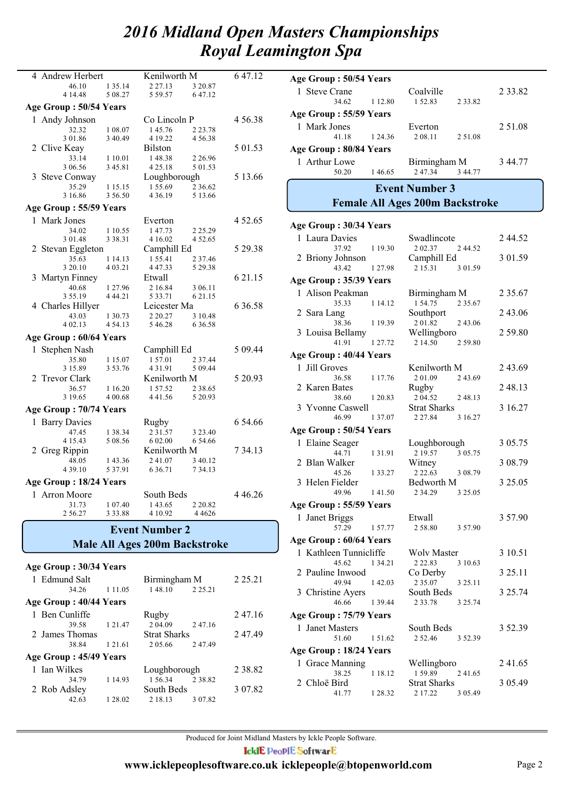| 4 Andrew Herbert       |             | Kenilworth M                         |             | 6 47.12     |
|------------------------|-------------|--------------------------------------|-------------|-------------|
| 46.10                  | 1 35.14     | 2 2 7 . 1 3                          | 3 20.87     |             |
| 4 14.48                | 5 08.27     | 5 59.57                              | 6 47.12     |             |
| Age Group: 50/54 Years |             |                                      |             |             |
| 1 Andy Johnson         |             | Co Lincoln P                         |             | 4 5 6 . 3 8 |
| 32.32                  | 1 08.07     | 145.76                               | 2 2 3 . 7 8 |             |
| 3 01.86                | 3 40.49     | 4 19.22                              | 4 5 6 3 8   |             |
| 2 Clive Keay           |             | <b>Bilston</b>                       |             | 5 01.53     |
| 33.14                  | 1 10.01     | 148.38                               | 2 2 6.96    |             |
| 3 06.56                | 345.81      | 4 25.18                              | 5 01.53     |             |
| 3 Steve Conway         |             | Loughborough                         |             | 5 13.66     |
| 35.29                  | 1 15.15     | 1 55.69                              | 2 3 6 6 2   |             |
| 3 16.86                | 3 56.50     | 4 3 6 1 9                            | 5 13.66     |             |
| Age Group: 55/59 Years |             |                                      |             |             |
| 1 Mark Jones           |             | Everton                              |             | 4 52.65     |
| 34.02                  | 1 10.55     | 147.73                               | 2 2 5 . 2 9 |             |
| 3 01.48                | 3 3 8 . 3 1 | 4 16.02                              | 4 52.65     |             |
| 2 Stevan Eggleton      |             | Camphill Ed                          |             | 5 29.38     |
| 35.63                  | 1 14.13     | 1 55.41                              | 2 37.46     |             |
| 3 20.10                | 4 03.21     | 447.33                               | 5 29.38     |             |
| 3 Martyn Finney        |             | Etwall                               |             | 6 2 1 . 1 5 |
| 40.68                  | 1 27.96     | 2 16.84                              | 3 06.11     |             |
| 355.19                 | 4 4 4 .21   | 5 3 3 . 7 1                          | 6 21.15     |             |
| 4 Charles Hillyer      |             | Leicester Ma                         |             | 6 3 6 .58   |
| 43.03                  | 1 30.73     | 2 2 0.27                             | 3 10.48     |             |
| 4 02.13                | 4 54.13     | 5 46.28                              | 6 3 6 . 5 8 |             |
| Age Group: 60/64 Years |             |                                      |             |             |
| 1 Stephen Nash         |             | Camphill Ed                          |             | 5 09.44     |
| 35.80                  | 1 15.07     | 157.01                               | 2 3 7 . 4 4 |             |
| 3 15.89                | 3 53.76     | 431.91                               | 5 09.44     |             |
| 2 Trevor Clark         |             | Kenilworth M                         |             | 5 20.93     |
| 36.57                  | 1 16.20     | 1 57.52                              | 2 3 8 . 6 5 |             |
| 3 19.65                | 4 00.68     | 441.56                               | 5 20.93     |             |
| Age Group: 70/74 Years |             |                                      |             |             |
| 1 Barry Davies         |             | Rugby                                |             | 6 54.66     |
| 47.45                  | 1 38.34     | 2 3 1 . 5 7                          | 3 23.40     |             |
| 4 1 5 4 3              | 5 08.56     | 6 02.00                              | 6 54.66     |             |
| 2 Greg Rippin          |             | Kenilworth M                         |             | 7 34.13     |
| 48.05                  | 143.36      | 241.07                               | 3 40.12     |             |
| 4 39.10                | 5 3 7 . 9 1 | 6 3 6 .71                            | 7 34.13     |             |
| Age Group: 18/24 Years |             |                                      |             |             |
| <b>Arron Moore</b>     |             | South Beds                           |             | 4 4 6.26    |
| 31.73                  | 1 07.40     | 143.65                               | 2 20.82     |             |
| 2 5 6 . 2 7            | 3 3 3 . 8 8 | 4 10.92                              | 4 4 6 2 6   |             |
|                        |             |                                      |             |             |
|                        |             | <b>Event Number 2</b>                |             |             |
|                        |             | <b>Male All Ages 200m Backstroke</b> |             |             |
|                        |             |                                      |             |             |
| Age Group: 30/34 Years |             |                                      |             |             |
| 1 Edmund Salt          |             | Birmingham M                         |             | 2 2 5 . 2 1 |
| 34.26                  | 1 11.05     | 148.10                               | 2 25.21     |             |

1 Ben Cunliffe Rugby 2 47.16<br>39.58 1 21.47 2 04.09 2 47.16  $2\,04.09$ 

2 James Thomas Strat Sharks 2 47.49<br>38.84 1 21.61 2 05.66 2 47.49 2 05.66

1 Ian Wilkes Loughborough 2 38.82<br>34.79 1 14.93 1 56.34 2 38.82  $1\,56.34$ 

2 Rob Adsley South Beds 3 07.82<br>42.63 1 28.02 2 18.13 3 07.82

42.63 1 28.02 2 18.13

**Age Group : 40/44 Years**

**Age Group : 45/49 Years**

|                        | Age Group: 50/54 Years     |             |                                        |             |             |
|------------------------|----------------------------|-------------|----------------------------------------|-------------|-------------|
|                        | 1 Steve Crane<br>34.62     | 1 12.80     | Coalville<br>152.83                    | 2 3 3 .8 2  | 2 3 3 . 8 2 |
|                        | Age Group : 55/59 Years    |             |                                        |             |             |
|                        | 1 Mark Jones<br>41.18      | 1 24.36     | Everton<br>2 08:11                     | 2 51.08     | 2 51.08     |
|                        | Age Group: 80/84 Years     |             |                                        |             |             |
|                        | 1 Arthur Lowe<br>50.20     | 146.65      | Birmingham M<br>247.34                 | 3 44.77     | 344.77      |
|                        |                            |             | <b>Event Number 3</b>                  |             |             |
|                        |                            |             | <b>Female All Ages 200m Backstroke</b> |             |             |
|                        | Age Group: 30/34 Years     |             |                                        |             |             |
|                        | 1 Laura Davies             |             | Swadlincote                            |             | 244.52      |
|                        | 37.92                      | 1 19.30     | 2 02.37                                | 2 44.52     |             |
|                        | 2 Briony Johnson           |             | Camphill Ed                            |             | 3 01.59     |
|                        | 43.42                      | 127.98      | 2 15.31                                | 3 01.59     |             |
|                        | Age Group: 35/39 Years     |             |                                        |             |             |
|                        | 1 Alison Peakman<br>35.33  |             | Birmingham M<br>1 54.75                | 2 3 5 . 6 7 | 2 3 5 . 6 7 |
|                        | 2 Sara Lang                | 1 14.12     | Southport                              |             | 2 43.06     |
|                        | 38.36                      | 1 19.39     | 201.82                                 | 2 43.06     |             |
|                        | 3 Louisa Bellamy           |             | Wellingboro                            |             | 2 59.80     |
|                        | 41.91                      | 1 27 72     | 2 14.50                                | 2 59.80     |             |
|                        | Age Group: 40/44 Years     |             |                                        |             |             |
| 1                      | Jill Groves<br>36.58       | 1 17.76     | Kenilworth M<br>2 01.09                | 2 43.69     | 243.69      |
|                        | 2 Karen Bates              |             | Rugby                                  |             | 248.13      |
|                        | 38.60                      | 1 20.83     | 2 04.52                                | 2 48.13     |             |
|                        | 3 Yvonne Caswell           |             | <b>Strat Sharks</b>                    |             | 3 16.27     |
|                        | 46.99                      | 1 37.07     | 2 27.84                                | 3 16.27     |             |
|                        | Age Group: 50/54 Years     |             |                                        |             |             |
|                        | 1 Elaine Seager<br>44.71   | 131.91      | Loughborough<br>2 19.57                | 3 05.75     | 3 05.75     |
|                        | 2 Blan Walker              |             | Witney                                 |             | 3 08.79     |
|                        | 45.26                      | 1 3 3 . 2 7 | 2 2 2 . 6 3                            | 3 08.79     |             |
|                        | 3 Helen Fielder            |             | Bedworth M                             |             | 3 25.05     |
|                        | 49.96                      | 141.50      | 2 34.29                                | 3 25.05     |             |
|                        | Age Group: 55/59 Years     |             |                                        |             |             |
|                        | 1 Janet Briggs<br>57.29    | 157.77      | Etwall<br>258.80                       | 3 57.90     | 3 57.90     |
|                        | Age Group: 60/64 Years     |             |                                        |             |             |
|                        | 1 Kathleen Tunnicliffe     |             | Wolv Master                            |             | 3 10.51     |
|                        | 45.62                      | 1 34.21     | 2 2 2 . 8 3                            | 3 10.63     |             |
|                        | 2 Pauline Inwood           |             | Co Derby                               |             | 3 25.11     |
|                        | 49.94                      | 142.03      | 2 3 5 . 0 7                            | 3 25.11     |             |
|                        | 3 Christine Ayers<br>46.66 | 1 39.44     | South Beds<br>2 3 3 . 7 8              | 3 25.74     | 3 25.74     |
| Age Group: 75/79 Years |                            |             |                                        |             |             |
|                        | 1 Janet Masters            |             | South Beds                             |             | 3 52.39     |
|                        | 51.60                      | 1 51.62     | 2 52.46                                | 3 52.39     |             |
|                        | Age Group : 18/24 Years    |             |                                        |             |             |
|                        | 1 Grace Manning            |             | Wellingboro                            |             | 241.65      |
|                        | 38.25                      | 1 18.12     | 159.89                                 | 241.65      |             |
|                        | 2 Chloë Bird               |             | <b>Strat Sharks</b>                    |             | 3 05.49     |
|                        | 41.77                      | 1 28.32     | 2 17.22                                | 3 05.49     |             |

Produced for Joint Midland Masters by Ickle People Software. **IcklE PeoplE SoftwarE www.icklepeoplesoftware.co.uk icklepeople@btopenworld.com** Page 2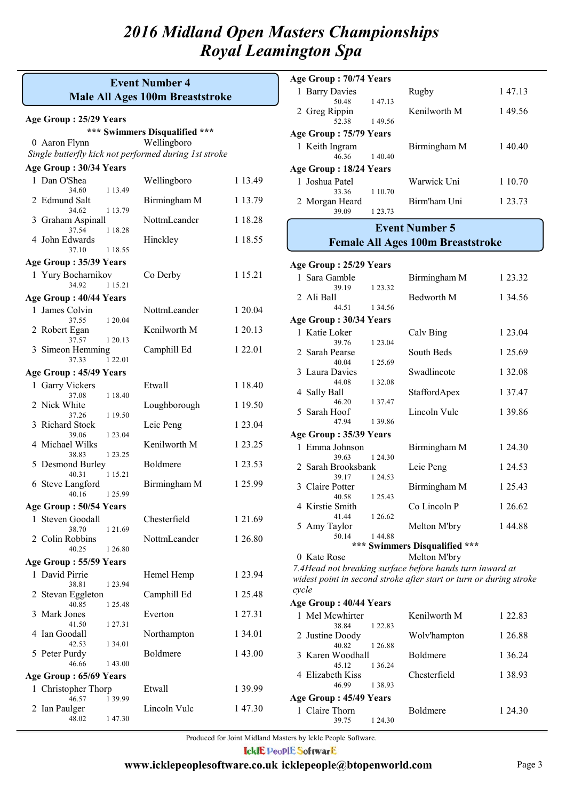#### **Male All Ages 100m Breaststroke Event Number 4**

#### **Age Group : 25/29 Years**

10 Aaron Flynn Wellingboro **\*\*\* Swimmers Disqualified \*\*\***

*Single butterfly kick not performed during 1st stroke*

#### **Age Group : 30/34 Years**

| $\alpha$ s or $\alpha$ up $\alpha$ or $\beta$ and $\alpha$ |                    |              |           |
|------------------------------------------------------------|--------------------|--------------|-----------|
| 1 Dan O'Shea<br>34.60                                      | 1 13.49            | Wellingboro  | 1 13.49   |
| 2 Edmund Salt                                              |                    | Birmingham M | 1 13.79   |
| 34.62<br>1 13.79<br>3 Graham Aspinall                      |                    | NottmLeander | 1 18.28   |
| 37.54<br>4 John Edwards<br>37.10                           | 1 18.28<br>1 18.55 | Hinckley     | 1 18.55   |
| Age Group: 35/39 Years                                     |                    |              |           |
| 1 Yury Bocharnikov<br>34.92                                | 1 15.21            | Co Derby     | 1 15.21   |
| Age Group: 40/44 Years                                     |                    |              |           |
| 1 James Colvin                                             |                    | NottmLeander | 1 20.04   |
| 37.55                                                      | 1 20.04            |              |           |
| 2 Robert Egan<br>37.57                                     | 1 20.13            | Kenilworth M | 1 20.13   |
| 3 Simeon Hemming<br>37.33                                  | 1 2 2 .01          | Camphill Ed  | 1 22.01   |
| Age Group: 45/49 Years                                     |                    |              |           |
| 1 Garry Vickers<br>37.08                                   | 1 18.40            | Etwall       | 1 18.40   |
| 2 Nick White<br>37.26                                      | 1 19.50            | Loughborough | 1 19.50   |
| 3 Richard Stock<br>39.06                                   | 1 23.04            | Leic Peng    | 1 23.04   |
| 4 Michael Wilks<br>38.83                                   | 1 23.25            | Kenilworth M | 1 23.25   |
| 5 Desmond Burley<br>40.31                                  | 1 1 5 . 2 1        | Boldmere     | 1 23.53   |
| 6 Steve Langford<br>40.16<br>1 25.99                       |                    | Birmingham M | 1 25.99   |
| Age Group: 50/54 Years                                     |                    |              |           |
| 1 Steven Goodall                                           |                    | Chesterfield | 1 2 1 .69 |
| 38.70<br>2 Colin Robbins                                   | 1 21.69            | NottmLeander | 1 26.80   |
| 40.25<br>1 26.80                                           |                    |              |           |
| Age Group: 55/59 Years                                     |                    |              |           |
| 1 David Pirrie<br>38.81<br>1 23.94                         |                    | Hemel Hemp   | 1 23.94   |
| 2 Stevan Eggleton<br>40.85                                 | 1 25.48            | Camphill Ed  | 1 25.48   |
| 3 Mark Jones<br>41.50                                      | 1 27.31            | Everton      | 1 27.31   |
| 4 Ian Goodall<br>42.53                                     | 1 34.01            | Northampton  | 1 34.01   |
| 5 Peter Purdy                                              |                    | Boldmere     | 143.00    |
| 46.66                                                      | 143.00             |              |           |
| Age Group: 65/69 Years                                     |                    | Etwall       | 1 39.99   |
| 1 Christopher Thorp<br>46.57                               | 1 39.99            |              |           |
| 2 Ian Paulger<br>48.02                                     | 147.30             | Lincoln Vulc | 147.30    |

| Age Group: 70/74 Years |         |              |         |  |
|------------------------|---------|--------------|---------|--|
| 1 Barry Davies         |         | Rugby        | 147.13  |  |
| 50.48                  | 147.13  |              |         |  |
| 2 Greg Rippin          |         | Kenilworth M | 149.56  |  |
| 52.38                  | 149.56  |              |         |  |
| Age Group: 75/79 Years |         |              |         |  |
| 1 Keith Ingram         |         | Birmingham M | 140.40  |  |
| 4636                   | 140.40  |              |         |  |
| Age Group: 18/24 Years |         |              |         |  |
| 1 Joshua Patel         |         | Warwick Uni  | 1 10.70 |  |
| 33.36                  | 1 10.70 |              |         |  |
| 2 Morgan Heard         |         | Birm'ham Uni | 1 23.73 |  |
| 39.09                  | 1 23.73 |              |         |  |
| <b>Event Number 5</b>  |         |              |         |  |

## **Female All Ages 100m Breaststroke**

#### **Age Group : 25/29 Years**

| 1 Sara Gamble          |             | Birmingham M                  | 1 23.32 |
|------------------------|-------------|-------------------------------|---------|
| 39.19                  | 1 2 3 . 3 2 |                               |         |
| 2 Ali Ball             |             | Bedworth M                    | 1 34.56 |
| 44.51 1 34.56          |             |                               |         |
| Age Group: 30/34 Years |             |                               |         |
| 1 Katie Loker          |             | Calv Bing                     | 1 23.04 |
| 39.76                  | 1 23.04     |                               |         |
| 2 Sarah Pearse         |             | South Beds                    | 1 25.69 |
| 40.04                  | 1 25.69     |                               |         |
| 3 Laura Davies         |             | Swadlincote                   | 1 32.08 |
| 44.08                  | 1 3 2 . 0 8 |                               |         |
| 4 Sally Ball<br>46.20  | 1 3 7 . 4 7 | StaffordApex                  | 1 37.47 |
| 5 Sarah Hoof           |             | Lincoln Vulc                  | 1 39.86 |
| 47.94                  | 1 39.86     |                               |         |
| Age Group: 35/39 Years |             |                               |         |
| 1 Emma Johnson         |             | Birmingham M                  | 1 24.30 |
| 39.63                  | 1 24 30     |                               |         |
| 2 Sarah Brooksbank     |             | Leic Peng                     | 1 24.53 |
| 39.17 1 24.53          |             |                               |         |
| 3 Claire Potter        |             | Birmingham M                  | 1 25.43 |
| 40.58                  | 1 25.43     |                               |         |
| 4 Kirstie Smith        |             | Co Lincoln P                  | 1 26.62 |
| 41.44<br>5 Amy Taylor  | 1 26.62     | Melton M'bry                  | 144.88  |
| 50.14                  | 144.88      |                               |         |
|                        |             | *** Swimmers Disqualified *** |         |
|                        |             |                               |         |

0 Kate Rose Melton M'bry

*7.4Head not breaking surface before hands turn inward at widest point in second stroke after start or turn or during stroke cycle*

#### **Age Group : 40/44 Years**

| 1 Mel Mcwhirter                      | Kenilworth M    | 1 22.83   |
|--------------------------------------|-----------------|-----------|
| 1 22 83<br>38.84                     |                 |           |
| 2 Justine Doody                      | Wolv'hampton    | 1 26.88   |
| 40.82<br>1 26.88<br>3 Karen Woodhall | <b>Boldmere</b> | 1 36.24   |
| 1 36 24<br>45 12                     |                 |           |
| 4 Elizabeth Kiss                     | Chesterfield    | 1 3 8 9 3 |
| 1 38.93<br>46.99                     |                 |           |
| Age Group: 45/49 Years               |                 |           |
| 1 Claire Thorn                       | <b>Boldmere</b> | 1 24.30   |
| 1 24.30<br>39.75                     |                 |           |

Produced for Joint Midland Masters by Ickle People Software. **IcklE PeoplE SoftwarE**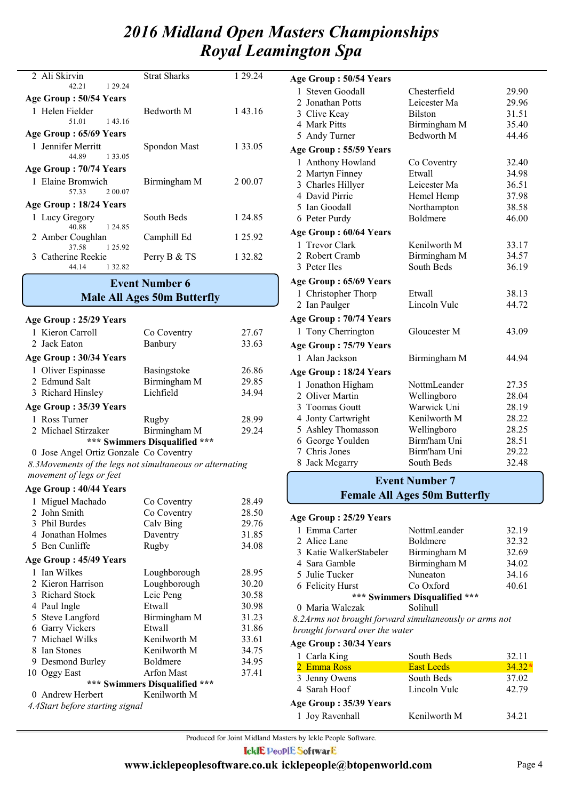| 2 Ali Skirvin          | <b>Strat Sharks</b> | 1 29 24 |
|------------------------|---------------------|---------|
|                        |                     |         |
| 1 29 24<br>42.21       |                     |         |
| Age Group: 50/54 Years |                     |         |
| 1 Helen Fielder        | Bedworth M          | 143.16  |
| 51.01<br>14316         |                     |         |
| Age Group: 65/69 Years |                     |         |
| 1 Jennifer Merritt     | Spondon Mast        | 1 33.05 |
| 44.89<br>1 3 3 0 5     |                     |         |
| Age Group: 70/74 Years |                     |         |
| 1 Elaine Bromwich      | Birmingham M        | 2 00.07 |
| 2 00 07<br>57.33       |                     |         |
| Age Group: 18/24 Years |                     |         |
| 1 Lucy Gregory         | South Beds          | 1 24.85 |
| 40.88<br>1 24 85       |                     |         |
| 2 Amber Coughlan       | Camphill Ed         | 1 25.92 |
| 37.58 1 25.92          |                     |         |
| 3 Catherine Reekie     | Perry B & TS        | 1 32.82 |
| 1 32.82<br>44 14       |                     |         |

## **Male All Ages 50m Butterfly Event Number 6**

| Age Group: 25/29 Years                                   |                               |       |
|----------------------------------------------------------|-------------------------------|-------|
| 1 Kieron Carroll                                         | Co Coventry                   | 27.67 |
| 2 Jack Eaton                                             | Banbury                       | 33.63 |
| Age Group: 30/34 Years                                   |                               |       |
| 1 Oliver Espinasse                                       | <b>Basingstoke</b>            | 26.86 |
| 2 Edmund Salt                                            | Birmingham M                  | 29.85 |
| 3 Richard Hinsley                                        | Lichfield                     | 34.94 |
| Age Group: 35/39 Years                                   |                               |       |
| 1 Ross Turner                                            | Rugby                         | 28.99 |
| 2 Michael Stirzaker                                      | Birmingham M                  | 29.24 |
|                                                          | *** Swimmers Disqualified *** |       |
| 0 Jose Angel Ortiz Gonzale Co Coventry                   |                               |       |
| 8.3Movements of the legs not simultaneous or alternating |                               |       |
| movement of legs or feet                                 |                               |       |
| Age Group: 40/44 Years                                   |                               |       |
| 1 Miguel Machado                                         | Co Coventry                   | 28.49 |
| 2 John Smith                                             | Co Coventry                   | 28.50 |
| 3 Phil Burdes                                            | Calv Bing                     | 29.76 |
| 4 Jonathan Holmes                                        | Daventry                      | 31.85 |

|                               | 5 Ben Cunliffe                  | Rugby             | 34.08 |  |
|-------------------------------|---------------------------------|-------------------|-------|--|
|                               | Age Group: 45/49 Years          |                   |       |  |
|                               | 1 Ian Wilkes                    | Loughborough      | 28.95 |  |
|                               | 2 Kieron Harrison               | Loughborough      | 30.20 |  |
|                               | 3 Richard Stock                 | Leic Peng         | 30.58 |  |
|                               | 4 Paul Ingle                    | Etwall            | 30.98 |  |
|                               | 5 Steve Langford                | Birmingham M      | 31.23 |  |
|                               | 6 Garry Vickers                 | Etwall            | 31.86 |  |
|                               | 7 Michael Wilks                 | Kenilworth M      | 33.61 |  |
|                               | 8 Ian Stones                    | Kenilworth M      | 34.75 |  |
|                               | 9 Desmond Burley                | Boldmere          | 34.95 |  |
|                               | 10 Oggy East                    | <b>Arfon Mast</b> | 37.41 |  |
| *** Swimmers Disqualified *** |                                 |                   |       |  |
|                               | 0 Andrew Herbert                | Kenilworth M      |       |  |
|                               | 4.4Start before starting signal |                   |       |  |
|                               |                                 |                   |       |  |

| 1 Steven Goodall<br>Chesterfield<br>29.90<br>2 Jonathan Potts<br>Leicester Ma<br>29.96<br>31.51<br>3 Clive Keay<br><b>Bilston</b><br>4 Mark Pitts<br>Birmingham M<br>35.40<br>Bedworth M<br>44.46<br>5 Andy Turner<br>Age Group: 55/59 Years<br>1 Anthony Howland<br>32.40<br>Co Coventry<br>2 Martyn Finney<br>Etwall<br>34.98<br>3 Charles Hillyer<br>36.51<br>Leicester Ma<br>4 David Pirrie<br>Hemel Hemp<br>37.98<br>5 Ian Goodall<br>38.58<br>Northampton<br><b>Boldmere</b><br>6 Peter Purdy<br>46.00<br>Age Group: 60/64 Years<br>1 Trevor Clark<br>Kenilworth M<br>33.17<br>Birmingham M<br>34.57<br>2 Robert Cramb<br>South Beds<br>36.19<br>3 Peter Iles<br>Age Group: 65/69 Years<br>1 Christopher Thorp<br>Etwall<br>38.13<br>2 Ian Paulger<br>Lincoln Vulc<br>44.72<br>Age Group: 70/74 Years<br>1 Tony Cherrington<br>Gloucester M<br>43.09<br>Age Group: 75/79 Years<br>1 Alan Jackson<br>Birmingham M<br>44.94<br>Age Group: 18/24 Years<br>Jonathon Higham<br>NottmLeander<br>27.35<br>1<br>2 Oliver Martin<br>Wellingboro<br>28.04<br>Warwick Uni<br>3 Toomas Goutt<br>28.19<br>4 Jonty Cartwright<br>Kenilworth M<br>28.22<br>5 Ashley Thomasson<br>Wellingboro<br>28.25<br>6 George Youlden<br>Birm'ham Uni<br>28.51<br>7 Chris Jones<br>Birm'ham Uni<br>29.22<br>South Beds<br>32.48<br>8 Jack Mcgarry | Age Group : 50/54 Years |  |
|------------------------------------------------------------------------------------------------------------------------------------------------------------------------------------------------------------------------------------------------------------------------------------------------------------------------------------------------------------------------------------------------------------------------------------------------------------------------------------------------------------------------------------------------------------------------------------------------------------------------------------------------------------------------------------------------------------------------------------------------------------------------------------------------------------------------------------------------------------------------------------------------------------------------------------------------------------------------------------------------------------------------------------------------------------------------------------------------------------------------------------------------------------------------------------------------------------------------------------------------------------------------------------------------------------------------------|-------------------------|--|
|                                                                                                                                                                                                                                                                                                                                                                                                                                                                                                                                                                                                                                                                                                                                                                                                                                                                                                                                                                                                                                                                                                                                                                                                                                                                                                                              |                         |  |
|                                                                                                                                                                                                                                                                                                                                                                                                                                                                                                                                                                                                                                                                                                                                                                                                                                                                                                                                                                                                                                                                                                                                                                                                                                                                                                                              |                         |  |
|                                                                                                                                                                                                                                                                                                                                                                                                                                                                                                                                                                                                                                                                                                                                                                                                                                                                                                                                                                                                                                                                                                                                                                                                                                                                                                                              |                         |  |
|                                                                                                                                                                                                                                                                                                                                                                                                                                                                                                                                                                                                                                                                                                                                                                                                                                                                                                                                                                                                                                                                                                                                                                                                                                                                                                                              |                         |  |
|                                                                                                                                                                                                                                                                                                                                                                                                                                                                                                                                                                                                                                                                                                                                                                                                                                                                                                                                                                                                                                                                                                                                                                                                                                                                                                                              |                         |  |
|                                                                                                                                                                                                                                                                                                                                                                                                                                                                                                                                                                                                                                                                                                                                                                                                                                                                                                                                                                                                                                                                                                                                                                                                                                                                                                                              |                         |  |
|                                                                                                                                                                                                                                                                                                                                                                                                                                                                                                                                                                                                                                                                                                                                                                                                                                                                                                                                                                                                                                                                                                                                                                                                                                                                                                                              |                         |  |
|                                                                                                                                                                                                                                                                                                                                                                                                                                                                                                                                                                                                                                                                                                                                                                                                                                                                                                                                                                                                                                                                                                                                                                                                                                                                                                                              |                         |  |
|                                                                                                                                                                                                                                                                                                                                                                                                                                                                                                                                                                                                                                                                                                                                                                                                                                                                                                                                                                                                                                                                                                                                                                                                                                                                                                                              |                         |  |
|                                                                                                                                                                                                                                                                                                                                                                                                                                                                                                                                                                                                                                                                                                                                                                                                                                                                                                                                                                                                                                                                                                                                                                                                                                                                                                                              |                         |  |
|                                                                                                                                                                                                                                                                                                                                                                                                                                                                                                                                                                                                                                                                                                                                                                                                                                                                                                                                                                                                                                                                                                                                                                                                                                                                                                                              |                         |  |
|                                                                                                                                                                                                                                                                                                                                                                                                                                                                                                                                                                                                                                                                                                                                                                                                                                                                                                                                                                                                                                                                                                                                                                                                                                                                                                                              |                         |  |
|                                                                                                                                                                                                                                                                                                                                                                                                                                                                                                                                                                                                                                                                                                                                                                                                                                                                                                                                                                                                                                                                                                                                                                                                                                                                                                                              |                         |  |
|                                                                                                                                                                                                                                                                                                                                                                                                                                                                                                                                                                                                                                                                                                                                                                                                                                                                                                                                                                                                                                                                                                                                                                                                                                                                                                                              |                         |  |
|                                                                                                                                                                                                                                                                                                                                                                                                                                                                                                                                                                                                                                                                                                                                                                                                                                                                                                                                                                                                                                                                                                                                                                                                                                                                                                                              |                         |  |
|                                                                                                                                                                                                                                                                                                                                                                                                                                                                                                                                                                                                                                                                                                                                                                                                                                                                                                                                                                                                                                                                                                                                                                                                                                                                                                                              |                         |  |
|                                                                                                                                                                                                                                                                                                                                                                                                                                                                                                                                                                                                                                                                                                                                                                                                                                                                                                                                                                                                                                                                                                                                                                                                                                                                                                                              |                         |  |
|                                                                                                                                                                                                                                                                                                                                                                                                                                                                                                                                                                                                                                                                                                                                                                                                                                                                                                                                                                                                                                                                                                                                                                                                                                                                                                                              |                         |  |
|                                                                                                                                                                                                                                                                                                                                                                                                                                                                                                                                                                                                                                                                                                                                                                                                                                                                                                                                                                                                                                                                                                                                                                                                                                                                                                                              |                         |  |
|                                                                                                                                                                                                                                                                                                                                                                                                                                                                                                                                                                                                                                                                                                                                                                                                                                                                                                                                                                                                                                                                                                                                                                                                                                                                                                                              |                         |  |
|                                                                                                                                                                                                                                                                                                                                                                                                                                                                                                                                                                                                                                                                                                                                                                                                                                                                                                                                                                                                                                                                                                                                                                                                                                                                                                                              |                         |  |
|                                                                                                                                                                                                                                                                                                                                                                                                                                                                                                                                                                                                                                                                                                                                                                                                                                                                                                                                                                                                                                                                                                                                                                                                                                                                                                                              |                         |  |
|                                                                                                                                                                                                                                                                                                                                                                                                                                                                                                                                                                                                                                                                                                                                                                                                                                                                                                                                                                                                                                                                                                                                                                                                                                                                                                                              |                         |  |
|                                                                                                                                                                                                                                                                                                                                                                                                                                                                                                                                                                                                                                                                                                                                                                                                                                                                                                                                                                                                                                                                                                                                                                                                                                                                                                                              |                         |  |
|                                                                                                                                                                                                                                                                                                                                                                                                                                                                                                                                                                                                                                                                                                                                                                                                                                                                                                                                                                                                                                                                                                                                                                                                                                                                                                                              |                         |  |
|                                                                                                                                                                                                                                                                                                                                                                                                                                                                                                                                                                                                                                                                                                                                                                                                                                                                                                                                                                                                                                                                                                                                                                                                                                                                                                                              |                         |  |
|                                                                                                                                                                                                                                                                                                                                                                                                                                                                                                                                                                                                                                                                                                                                                                                                                                                                                                                                                                                                                                                                                                                                                                                                                                                                                                                              |                         |  |
|                                                                                                                                                                                                                                                                                                                                                                                                                                                                                                                                                                                                                                                                                                                                                                                                                                                                                                                                                                                                                                                                                                                                                                                                                                                                                                                              |                         |  |
|                                                                                                                                                                                                                                                                                                                                                                                                                                                                                                                                                                                                                                                                                                                                                                                                                                                                                                                                                                                                                                                                                                                                                                                                                                                                                                                              |                         |  |
|                                                                                                                                                                                                                                                                                                                                                                                                                                                                                                                                                                                                                                                                                                                                                                                                                                                                                                                                                                                                                                                                                                                                                                                                                                                                                                                              |                         |  |
|                                                                                                                                                                                                                                                                                                                                                                                                                                                                                                                                                                                                                                                                                                                                                                                                                                                                                                                                                                                                                                                                                                                                                                                                                                                                                                                              |                         |  |
|                                                                                                                                                                                                                                                                                                                                                                                                                                                                                                                                                                                                                                                                                                                                                                                                                                                                                                                                                                                                                                                                                                                                                                                                                                                                                                                              |                         |  |

## **Female All Ages 50m Butterfly Event Number 7**

#### **Age Group : 25/29 Years**

| 1 Emma Carter                 | NottmLeander    | 32.19 |  |  |
|-------------------------------|-----------------|-------|--|--|
| 2 Alice Lane                  | <b>Boldmere</b> | 32.32 |  |  |
| 3 Katie WalkerStabeler        | Birmingham M    | 32.69 |  |  |
| 4 Sara Gamble                 | Birmingham M    | 34.02 |  |  |
| 5 Julie Tucker                | Nuneaton        | 34.16 |  |  |
| 6 Felicity Hurst              | Co Oxford       | 40.61 |  |  |
| *** Swimmers Disqualified *** |                 |       |  |  |
|                               |                 |       |  |  |

0 Maria Walczak Solihull

*8.2Arms not brought forward simultaneously or arms not brought forward over the water*

**Age Group : 30/34 Years**

| 1 Carla King           | South Beds        | 32.11    |
|------------------------|-------------------|----------|
| 2 Emma Ross            | <b>East Leeds</b> | $34.32*$ |
| 3 Jenny Owens          | South Beds        | 37.02    |
| 4 Sarah Hoof           | Lincoln Vulc      | 42.79    |
| Age Group: 35/39 Years |                   |          |
| 1 Joy Ravenhall        | Kenilworth M      | 34.21    |
|                        |                   |          |

Produced for Joint Midland Masters by Ickle People Software. **IcklE PeoplE SoftwarE**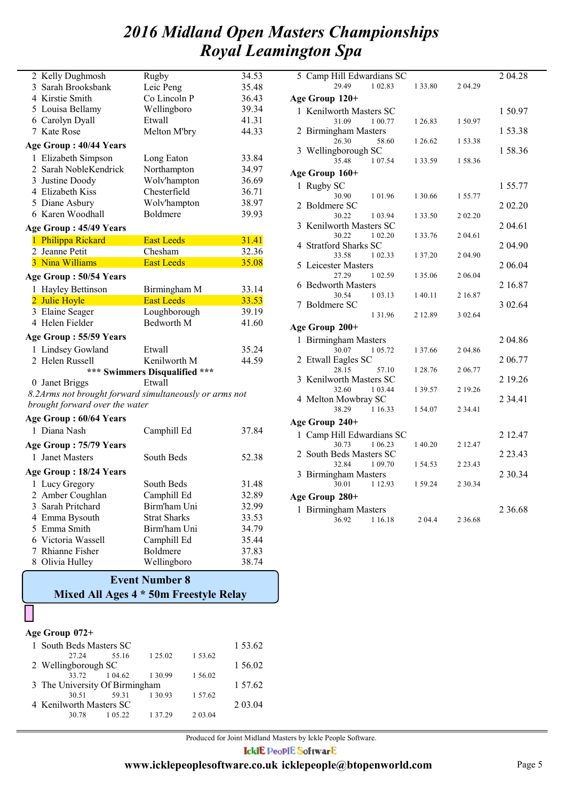| 2 Kelly Dughmosh                                       | Rugby                         | 34.53 |
|--------------------------------------------------------|-------------------------------|-------|
| 3 Sarah Brooksbank                                     | Leic Peng                     | 35.48 |
| 4 Kirstie Smith                                        | Co Lincoln P                  | 36.43 |
| 5 Louisa Bellamy                                       | Wellingboro                   | 39.34 |
| 6 Carolyn Dyall                                        | Etwall                        | 41.31 |
| 7 Kate Rose                                            | Melton M'bry                  | 44.33 |
| Age Group : 40/44 Years                                |                               |       |
| 1 Elizabeth Simpson                                    | Long Eaton                    | 33.84 |
| 2 Sarah NobleKendrick                                  | Northampton                   | 34.97 |
| 3 Justine Doody                                        | Wolv'hampton                  | 36.69 |
| 4 Elizabeth Kiss                                       | Chesterfield                  | 36.71 |
| 5 Diane Asbury                                         | Wolv'hampton                  | 38.97 |
| 6 Karen Woodhall                                       | Boldmere                      | 39.93 |
| Age Group: 45/49 Years                                 |                               |       |
| 1 Philippa Rickard                                     | <b>East Leeds</b>             | 31.41 |
| 2 Jeanne Petit                                         | Chesham                       | 32.36 |
| 3 Nina Williams                                        | <b>East Leeds</b>             | 35.08 |
| Age Group: 50/54 Years                                 |                               |       |
| 1 Hayley Bettinson                                     | Birmingham M                  | 33.14 |
| 2 Julie Hoyle                                          | <b>East Leeds</b>             | 33.53 |
| 3 Elaine Seager                                        | Loughborough                  | 39.19 |
| 4 Helen Fielder                                        | Bedworth M                    | 41.60 |
| Age Group: 55/59 Years                                 |                               |       |
| 1 Lindsey Gowland                                      | Etwall                        | 35.24 |
| 2 Helen Russell                                        | Kenilworth M                  | 44.59 |
|                                                        | *** Swimmers Disqualified *** |       |
| 0 Janet Briggs                                         | Etwall                        |       |
| 8.2Arms not brought forward simultaneously or arms not |                               |       |
| brought forward over the water                         |                               |       |
| Age Group: 60/64 Years                                 |                               |       |
| 1 Diana Nash                                           | Camphill Ed                   | 37.84 |
| Age Group: 75/79 Years                                 |                               |       |
| 1 Janet Masters                                        | South Beds                    | 52.38 |
| Age Group : 18/24 Years                                |                               |       |
| 1 Lucy Gregory                                         | South Beds                    | 31.48 |
| 2 Amber Coughlan                                       | Camphill Ed                   | 32.89 |
| 3 Sarah Pritchard                                      | Birm'ham Uni                  | 32.99 |
| 4 Emma Bysouth                                         | <b>Strat Sharks</b>           | 33.53 |
| 5 Emma Smith                                           | Birm'ham Uni                  | 34.79 |
| 6 Victoria Wassell                                     | Camphill Ed                   | 35.44 |
| 7 Rhianne Fisher                                       | Boldmere                      | 37.83 |
| 8 Olivia Hulley                                        | Wellingboro                   | 38.74 |

## **Mixed All Ages 4 \* 50m Freestyle Relay Event Number 8**

#### **Age Group 072+**

| 1 South Beds Masters SC        | 1 53.62       |         |         |         |
|--------------------------------|---------------|---------|---------|---------|
| 27.24                          | 55.16         | 1 25.02 | 1 53.62 |         |
| 2 Wellingborough SC            |               |         |         | 1 56.02 |
|                                | 33.72 1 04.62 | 1 30.99 | 1 56.02 |         |
| 3 The University Of Birmingham |               |         |         | 1 57.62 |
| 30.51                          | 59.31         | 1 30 93 | 1 57.62 |         |
| 4 Kenilworth Masters SC        |               |         |         |         |
| 30.78                          | 1 05 22       | 1 37 29 | 2 03 04 |         |

| 5 Camp Hill Edwardians SC         |             |             | 2 04.28     |
|-----------------------------------|-------------|-------------|-------------|
| 29.49<br>1 02.83                  |             |             |             |
|                                   | 1 33.80     | 2 04.29     |             |
| Age Group 120+                    |             |             |             |
| 1 Kenilworth Masters SC           |             |             | 150.97      |
| 31.09<br>1 00.77                  | 1 26.83     | 150.97      |             |
| <b>Birmingham Masters</b><br>2    |             |             | 153.38      |
| 26.30<br>58.60                    | 1 26.62     | 153.38      |             |
| 3 Wellingborough SC               |             |             | 158.36      |
| 35.48<br>1 07.54                  | 1 33.59     | 158.36      |             |
|                                   |             |             |             |
| Age Group 160+                    |             |             |             |
| Rugby SC<br>T                     |             |             | 155.77      |
| 30.90<br>101.96                   | 1 30.66     | 1 55.77     |             |
| Boldmere SC<br>2                  |             |             | 2 02.20     |
| 30.22<br>1 03.94                  | 1 33.50     | 2 02.20     |             |
| Kenilworth Masters SC<br>3        |             |             | 2 04.61     |
| 30.22<br>1 02.20                  | 1 3 3 . 7 6 | 2 04.61     |             |
| <b>Stratford Sharks SC</b><br>4   |             |             | 2 04.90     |
| 33.58<br>1 02.33                  | 1 37.20     | 2 04.90     |             |
| 5<br>Leicester Masters            |             |             | 2 06.04     |
| 27.29<br>1 02.59                  | 1 35.06     | 2 06.04     |             |
| <b>Bedworth Masters</b><br>6      |             |             | 2 16.87     |
| 30.54<br>1 03.13                  | 140.11      | 2 16.87     |             |
| <b>Boldmere SC</b><br>7           |             |             | 3 02.64     |
| 1 3 1 . 9 6                       | 2 12.89     | 3 02.64     |             |
| Age Group 200+                    |             |             |             |
|                                   |             |             |             |
| 1 Birmingham Masters              |             |             | 2 04.86     |
| 30.07<br>1 05.72                  | 1 37.66     | 2 04.86     |             |
| Etwall Eagles SC<br>2             |             |             | 2 06.77     |
| 28.15<br>57.10                    | 1 28.76     | 2 06.77     |             |
| <b>Kenilworth Masters SC</b><br>3 |             |             | 2 19.26     |
| 32.60<br>1 03.44                  | 1 39.57     | 2 19.26     |             |
| 4 Melton Mowbray SC               |             |             | 2 3 4 . 4 1 |
| 38.29<br>1 16.33                  | 154.07      | 2 3 4 . 4 1 |             |
| Age Group 240+                    |             |             |             |
| 1 Camp Hill Edwardians SC         |             |             | 2 12.47     |
| 30.73<br>1 06.23                  | 1 40.20     | 2 12.47     |             |
| 2 South Beds Masters SC           |             |             | 2 23.43     |
| 32.84                             |             |             |             |
| 1 09.70                           | 154.53      | 2 2 3 . 4 3 | 2 30.34     |
| 3 Birmingham Masters              |             |             |             |
| 1 12.93<br>30.01                  | 1 59.24     | 2 3 0 . 3 4 |             |
| Age Group 280+                    |             |             |             |
| 1 Birmingham Masters              |             |             | 2 3 6 . 6 8 |
| 36.92<br>1 16.18                  | 2 04.4      | 2 3 6 . 6 8 |             |

Produced for Joint Midland Masters by Ickle People Software. **IcklE PeoplE SoftwarE**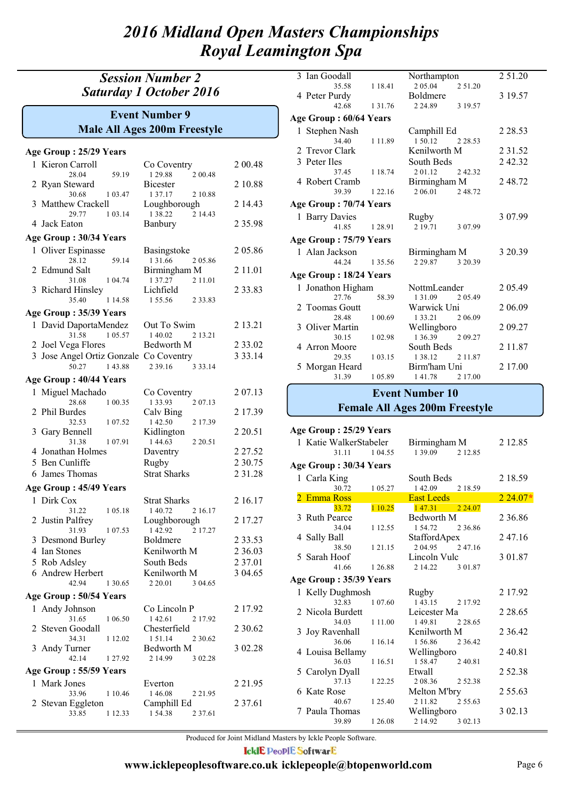## *Session Number 2 Saturday 1 October 2016*

## **Male All Ages 200m Freestyle Event Number 9**

| Age Group: 25/29 Years                 |                                      |             |
|----------------------------------------|--------------------------------------|-------------|
| 1 Kieron Carroll                       | Co Coventry                          | 2 00.48     |
| 59.19<br>28.04                         | 1 29.88<br>2 00.48                   |             |
| Ryan Steward<br>2                      | Bicester                             | 2 10.88     |
| 30.68<br>1 03.47                       | 1 37.17<br>2 10.88                   |             |
| 3 Matthew Crackell                     | Loughborough<br>1 38.22              | 2 14.43     |
| 29.77<br>1 03.14<br>4 Jack Eaton       | 2 14.43<br>Banbury                   | 2 3 5 . 9 8 |
|                                        |                                      |             |
| Age Group: 30/34 Years                 |                                      |             |
| 1 Oliver Espinasse                     | Basingstoke                          | 2 05.86     |
| 28.12<br>59.14<br>2 Edmund Salt        | 1 3 1 .66<br>2 05.86<br>Birmingham M | 2 1 1 .0 1  |
| 31.08<br>1 04.74                       | 1 37.27<br>2 1 1 .0 1                |             |
| 3 Richard Hinsley                      | Lichfield                            | 2 3 3 . 8 3 |
| 35.40<br>1 14.58                       | 155.56<br>2 3 3 . 8 3                |             |
| Age Group: 35/39 Years                 |                                      |             |
| 1 David DaportaMendez                  | Out To Swim                          | 2 13.21     |
| 31.58<br>1 05.57                       | 1 40.02<br>2 13.21                   |             |
| 2 Joel Vega Flores                     | Bedworth M                           | 2 3 3 .0 2  |
| 3 Jose Angel Ortiz Gonzale Co Coventry |                                      | 3 3 3 . 1 4 |
| 50.27<br>143.88                        | 2 3 9 1 6<br>3 3 3 .14               |             |
| Age Group: 40/44 Years                 |                                      |             |
| 1 Miguel Machado                       | Co Coventry                          | 2 07.13     |
| 1 00.35<br>28.68                       | 1 3 3 . 9 3<br>2 07.13               |             |
| 2 Phil Burdes                          | Calv Bing                            | 2 17.39     |
| 32.53<br>1 07.52                       | 142.50<br>2 17.39                    |             |
| Gary Bennell<br>3                      | Kidlington                           | 2 2 0.51    |
| 31.38<br>1 0 7 .91                     | 1 44.63<br>2 2 0.51                  |             |
| 4 Jonathan Holmes                      | Daventry                             | 2 2 7 . 5 2 |
| 5 Ben Cunliffe                         | Rugby                                | 2 30.75     |
| 6 James Thomas                         | <b>Strat Sharks</b>                  | 2 3 1 . 2 8 |
| Age Group: 45/49 Years                 |                                      |             |
| 1 Dirk Cox                             | <b>Strat Sharks</b>                  | 2 16.17     |
| 31.22<br>1 05.18                       | 1 40.72<br>2 16.17                   |             |
| 2 Justin Palfrey                       | Loughborough                         | 2 17.27     |
| 31.93<br>1 07.53                       | 142.92<br>2 17.27                    |             |
| 3 Desmond Burley<br>4 Ian Stones       | Boldmere<br>Kenilworth M             | 2 3 3 . 5 3 |
|                                        |                                      | 2 3 6 .0 3  |
| 5 Rob Adsley                           | South Beds                           | 2 37.01     |
| 6 Andrew Herbert<br>42.94<br>1 30.65   | Kenilworth M<br>2 20.01<br>3 04.65   | 3 04.65     |
|                                        |                                      |             |
| Age Group: 50/54 Years                 |                                      |             |
| 1 Andy Johnson                         | Co Lincoln P                         | 2 17.92     |
| 31.65<br>1 06.50<br>2 Steven Goodall   | 142.61<br>2 17.92<br>Chesterfield    | 2 3 0 . 6 2 |
| 34.31<br>1 12.02                       | 151.14<br>2 30.62                    |             |
| 3 Andy Turner                          | Bedworth M                           | 3 02.28     |
| 42.14<br>1 27.92                       | 2 14.99<br>3 02.28                   |             |
| Age Group: 55/59 Years                 |                                      |             |
| 1 Mark Jones                           | Everton                              | 2 2 1 .95   |
| 33.96<br>1 10.46                       | 146.08<br>2 2 1 . 9 5                |             |
| Stevan Eggleton<br>2                   | Camphill Ed                          | 2 3 7 .61   |
| 33.85<br>1 12.33                       | 154.38<br>2 37.61                    |             |

|   | 3 Ian Goodall          |             | Northampton     |           | 2 51.20     |
|---|------------------------|-------------|-----------------|-----------|-------------|
|   | 35.58                  | 1 1 8 4 1   | 2 0 5 0 4       | 2 51.20   |             |
|   | 4 Peter Purdy          |             | <b>Boldmere</b> |           | 3 19.57     |
|   | 42.68                  | 1 3 1 . 7 6 | 2 24.89         | 3 19.57   |             |
|   | Age Group: 60/64 Years |             |                 |           |             |
|   | 1 Stephen Nash         |             | Camphill Ed     |           | 2 2 8 . 5 3 |
|   | 34.40                  | 111.89      | 1 50 12         | 2 2 8 5 3 |             |
|   | 2 Trevor Clark         |             | Kenilworth M    |           | 2 3 1 .5 2  |
|   | 3 Peter Iles           |             | South Beds      |           | 242.32      |
|   | 37.45                  | 1 18.74     | 201.12          | 2 4 2 3 2 |             |
|   | 4 Robert Cramb         |             | Birmingham M    |           | 2 48.72     |
|   | 39.39                  | 1 22 16     | 2 06.01         | 248.72    |             |
|   | Age Group: 70/74 Years |             |                 |           |             |
|   | 1 Barry Davies         |             | Rugby           |           | 3 07.99     |
|   | 41.85                  | 1 2 8 9 1   | 2 19 71         | 3 0 7 9 9 |             |
|   | Age Group: 75/79 Years |             |                 |           |             |
|   | 1 Alan Jackson         |             | Birmingham M    |           | 3 20.39     |
|   | 44 24                  | 1 35.56     | 2 2 9 8 7       | 3 20 39   |             |
|   | Age Group: 18/24 Years |             |                 |           |             |
| 1 | Jonathon Higham        |             | NottmLeander    |           | 2 05.49     |
|   | 27.76                  | 58.39       | 1 3 1 0 9       | 2 0 5 4 9 |             |
|   | 2 Toomas Goutt         |             | Warwick Uni     |           | 2 06.09     |
|   | 28.48                  | 1 00.69     | 1 3 3 . 2 1     | 2 06.09   |             |
|   | 3 Oliver Martin        |             | Wellingboro     |           | 2 09.27     |
|   | 30.15                  | 1 02.98     | 1 36.39         | 2 09.27   |             |
|   | 4 Arron Moore          |             | South Beds      |           | 2 1 1 . 8 7 |
|   | 29.35                  | 1 03.15     | 1 38.12         | 2 11.87   |             |
|   | 5 Morgan Heard         |             | Birm'ham Uni    |           | 2 17.00     |
|   | 31.39                  | 105.89      | 141.78          | 2 17.00   |             |

#### **Female All Ages 200m Freestyle Event Number 10**

1 Katie WalkerStabeler Birmingham M 2 12.85<br>31.11 1 04.55 1 39.09 2 12.85 1 39.09 **Age Group : 25/29 Years** 1 Carla King South Beds 2 18.59<br>30.72 1 05.27 1 42.09 2 18.59 30.72 1 05.27 1 42.09 2 18.59 **Age Group : 30/34 Years** 2 Emma Ross East Leeds 2 24.07**\*** 33.72 1 10.25 1 47.31 2 24.07 3 Ruth Pearce Bedworth M 2 36.86<br>34.04 1 12.55 1 54.72 2 36.86 1 54.72 4 Sally Ball StaffordApex 2 47.16<br>38.50 1 21.15 2 04.95 2 47.16 38.50 1 2 1.15 2 04.95 5 Sarah Hoof Lincoln Vulc 3 01.87 41.66 1 26.88 2 14.22 3 01.87 1 Kelly Dughmosh Rugby 2 17.92<br>32.83 1 07.60 1 43.15 2 17.92 1 43.15 **Age Group : 35/39 Years** 2 Nicola Burdett Leicester Ma 2 28.65<br>34.03 1 11.00 1 49.81 2 28.65 1 11.00 3 Joy Ravenhall Kenilworth M 2 36.42 36.06 1 16.14 1 56.86 2 36.42 4 Louisa Bellamy Wellingboro 2 40.81<br>  $36.03$  1 16.51 1 58.47 2 40.81 1 16.51 1 58.47 5 Carolyn Dyall Etwall 2 52.38<br>37.13 1 22.25 2 08.36 2 52.38 2 08.36 6 Kate Rose Melton M'bry 2 55.63<br>40.67 1 25.40 2 11.82 2 55.63  $125.40$ 7 Paula Thomas Wellingboro 3 02.13<br>39.89 1 26.08 2 14.92 3 02.13 39.89 1 26.08 2 14.92

Produced for Joint Midland Masters by Ickle People Software. **IcklE PeoplE SoftwarE**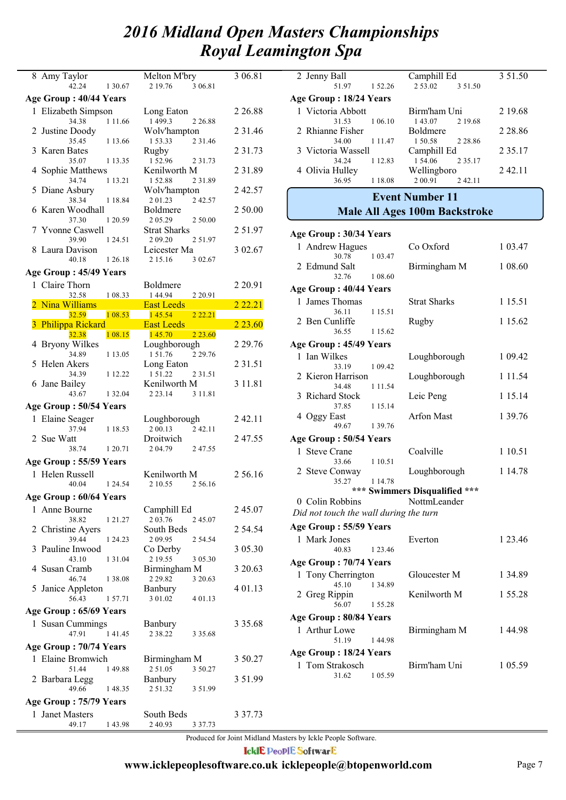|                                           | Melton M'bry                          | 3 06.81     |
|-------------------------------------------|---------------------------------------|-------------|
| 8 Amy Taylor<br>42.24<br>1 30.67          | 2 19.76<br>3 06.81                    |             |
| Age Group: 40/44 Years                    |                                       |             |
|                                           |                                       |             |
| 1 Elizabeth Simpson<br>34.38<br>1 1 1 .66 | Long Eaton<br>1499.3<br>2 2 6.88      | 2 2 6 .88   |
| Justine Doody<br>2                        | Wolv'hampton                          | 2 3 1 . 4 6 |
| 35.45<br>1 13.66                          | 153.33<br>2 3 1 . 4 6                 |             |
| 3<br>Karen Bates                          | Rugby                                 | 2 3 1 . 7 3 |
| 35.07<br>1 13.35                          | 152.96<br>2 3 1 . 7 3                 |             |
| Sophie Matthews<br>4                      | Kenilworth M                          | 2 3 1 .8 9  |
| 34.74<br>1 13.21                          | 152.88<br>2 3 1 .89                   |             |
| Diane Asbury<br>5                         | Wolv'hampton                          | 242.57      |
| 38.34<br>1 18.84                          | 201.23<br>2 42.57                     |             |
| 6 Karen Woodhall<br>37.30<br>1 20.59      | Boldmere<br>205.29<br>2 50.00         | 2 50.00     |
| <b>Yvonne Caswell</b><br>7                | <b>Strat Sharks</b>                   | 251.97      |
| 39.90<br>1 24.51                          | 2 09.20<br>251.97                     |             |
| Laura Davison<br>8.                       | Leicester Ma                          | 3 02.67     |
| 40.18<br>1 26 18                          | 2 15 16<br>3 02.67                    |             |
| Age Group: 45/49 Years                    |                                       |             |
| 1 Claire Thorn                            |                                       | 2 2 0.91    |
| 32.58<br>1 08.33                          | Boldmere<br>144.94<br>2 2 0.91        |             |
| Nina Williams                             | <b>East Leeds</b>                     | 2 2 2 . 2 1 |
| 32.59<br>1 08.53                          | 145.54<br>2 2 2 . 2 1                 |             |
| Philippa Rickard                          | <b>East Leeds</b>                     | 2 23.60     |
| 32.38<br>1 08.15                          | 145.70<br>2 2 3 .60                   |             |
| 4 Bryony Wilkes                           | Loughborough                          | 2 29.76     |
| 34.89<br>1 13.05                          | 151.76<br>2 29.76                     |             |
| Helen Akers<br>5                          | Long Eaton                            | 2 3 1 . 5 1 |
| 34.39<br>1 12.22                          | 1 5 1 .22<br>2 3 1 . 5 1              |             |
| Jane Bailey<br>6                          | Kenilworth M                          | 3 11.81     |
| 43.67<br>1 32.04                          | 2 2 3 1 4<br>3 11.81                  |             |
|                                           |                                       |             |
| Age Group: 50/54 Years                    |                                       |             |
| l                                         |                                       |             |
| Elaine Seager<br>37.94<br>1 18.53         | Loughborough<br>2 00.13<br>2 4 2 1 1  | 2 42.11     |
| 2 Sue Watt                                | Droitwich                             | 247.55      |
| 38.74<br>1 20 71                          | 204.79<br>2 47.55                     |             |
|                                           |                                       |             |
| Age Group: 55/59 Years                    |                                       |             |
| 1 Helen Russell<br>1 24.54                | Kenilworth M<br>2 56 16               | 2 56 16     |
| 40.04                                     | 2 10.55                               |             |
| Age Group: 60/64 Years                    |                                       |             |
| 1 Anne Bourne                             | Camphill Ed                           | 245.07      |
| 38.82<br>1 21.27                          | 203.76<br>2 45.07                     |             |
| 2 Christine Ayers                         | South Beds                            | 2 54.54     |
| 39.44<br>1 24.23                          | 2 09.95<br>2 54.54                    |             |
| Pauline Inwood<br>3                       | Co Derby                              | 3 05.30     |
| 43.10<br>1 3 1 . 0 4<br>4                 | 2 19.55<br>3 05.30                    |             |
| Susan Cramb<br>46.74<br>1 38.08           | Birmingham M<br>2 29.82<br>3 20.63    | 3 20.63     |
|                                           | Banbury                               | 4 01.13     |
| 5 Janice Appleton<br>56.43<br>1 57.71     | 3 01.02<br>4 01.13                    |             |
|                                           |                                       |             |
| Age Group: 65/69 Years                    |                                       |             |
| 1 Susan Cummings<br>47.91<br>141.45       | Banbury<br>2 3 8 . 2 2<br>3 3 5 . 6 8 | 3 3 5 . 6 8 |
|                                           |                                       |             |
| Age Group: 70/74 Years                    |                                       |             |
| 1 Elaine Bromwich                         | Birmingham M                          | 3 50.27     |
| 51.44<br>149.88                           | 2 51.05<br>3 50.27                    |             |
| 2 Barbara Legg                            | Banbury                               | 3 51.99     |
| 49.66<br>148.35                           | 2 51.32<br>3 5 1 . 9 9                |             |
| Age Group: 75/79 Years                    |                                       |             |
| 1 Janet Masters<br>49.17<br>143.98        | South Beds<br>2 40.93<br>3 3 7 . 7 3  | 3 3 7 . 7 3 |

|                        | 2 Jenny Ball<br>51.97                                     | 1 52.26     | Camphill Ed<br>2 53.02<br>3 51.50    | 3 51.50     |
|------------------------|-----------------------------------------------------------|-------------|--------------------------------------|-------------|
|                        | Age Group: 18/24 Years                                    |             |                                      |             |
|                        | 1 Victoria Abbott                                         |             | Birm'ham Uni                         | 2 19.68     |
|                        | 31.53<br>2 Rhianne Fisher                                 | 1 06.10     | 143.07<br>2 19.68<br>Boldmere        | 2 28.86     |
|                        | 34.00                                                     | 1 1 1 . 4 7 | 150.58<br>2 2 8 . 8 6                |             |
|                        | 3 Victoria Wassell<br>34.24                               | 1 12.83     | Camphill Ed<br>1 54.06<br>2 3 5 1 7  | 2 3 5 . 1 7 |
|                        | 4 Olivia Hulley<br>36.95                                  | 1 18.08     | Wellingboro<br>2 00.91<br>242.11     | 242.11      |
|                        |                                                           |             | <b>Event Number 11</b>               |             |
|                        |                                                           |             | <b>Male All Ages 100m Backstroke</b> |             |
|                        |                                                           |             |                                      |             |
|                        | Age Group: 30/34 Years                                    |             |                                      |             |
|                        | 1 Andrew Hagues<br>30.78                                  | 1 03.47     | Co Oxford                            | 1 0 3.47    |
|                        | 2 Edmund Salt<br>32.76                                    | 1 08.60     | Birmingham M                         | 1 08.60     |
|                        | Age Group: 40/44 Years                                    |             |                                      |             |
|                        | 1 James Thomas                                            |             | <b>Strat Sharks</b>                  | 1 15.51     |
|                        | 36.11<br>2 Ben Cunliffe                                   | 1 15.51     | Rugby                                | 1 15.62     |
|                        | 36.55                                                     | 1 15.62     |                                      |             |
|                        | Age Group: 45/49 Years                                    |             |                                      |             |
|                        | 1 Ian Wilkes<br>33.19                                     | 1 09.42     | Loughborough                         | 1 09.42     |
|                        | 2 Kieron Harrison                                         |             | Loughborough                         | 1 1 1 .54   |
| 3                      | 34.48<br><b>Richard Stock</b>                             | 1 1 1 . 5 4 | Leic Peng                            | 1 15.14     |
|                        | 37.85<br>4 Oggy East                                      | 1 15.14     | <b>Arfon Mast</b>                    | 1 39.76     |
|                        | 49.67                                                     | 1 39.76     |                                      |             |
| Age Group: 50/54 Years |                                                           |             |                                      |             |
| 1                      | <b>Steve Crane</b>                                        |             | Coalville                            | 1 10.51     |
|                        | 33.66<br>2 Steve Conway                                   | 1 10.51     | Loughborough                         | 1 14.78     |
|                        | 35.27                                                     | 1 14.78     |                                      |             |
|                        |                                                           |             | *** Swimmers Disqualified ***        |             |
|                        | 0 Colin Robbins<br>Did not touch the wall during the turn |             | NottmLeander                         |             |
|                        | Age Group: 55/59 Years                                    |             |                                      |             |
|                        | 1 Mark Jones                                              |             | Everton                              | 1 23.46     |
|                        | 40.83                                                     | 1 2 3 . 4 6 |                                      |             |
|                        | Age Group: 70/74 Years                                    |             |                                      |             |
|                        | 1 Tony Cherrington<br>45.10                               | 1 34.89     | Gloucester M                         | 1 34.89     |
|                        | 2 Greg Rippin<br>56.07                                    | 1 55.28     | Kenilworth M                         | 1 55.28     |
|                        | Age Group: 80/84 Years                                    |             |                                      |             |
|                        | 1 Arthur Lowe                                             |             | Birmingham M                         | 144.98      |
|                        | 51.19                                                     | 144.98      |                                      |             |
|                        | Age Group : 18/24 Years<br>1 Tom Strakosch                |             | Birm'ham Uni                         |             |
|                        | 31.62                                                     | 1 05.59     |                                      | 1 05.59     |
|                        |                                                           |             |                                      |             |

Produced for Joint Midland Masters by Ickle People Software.

**IcklE PeoplE SoftwarE**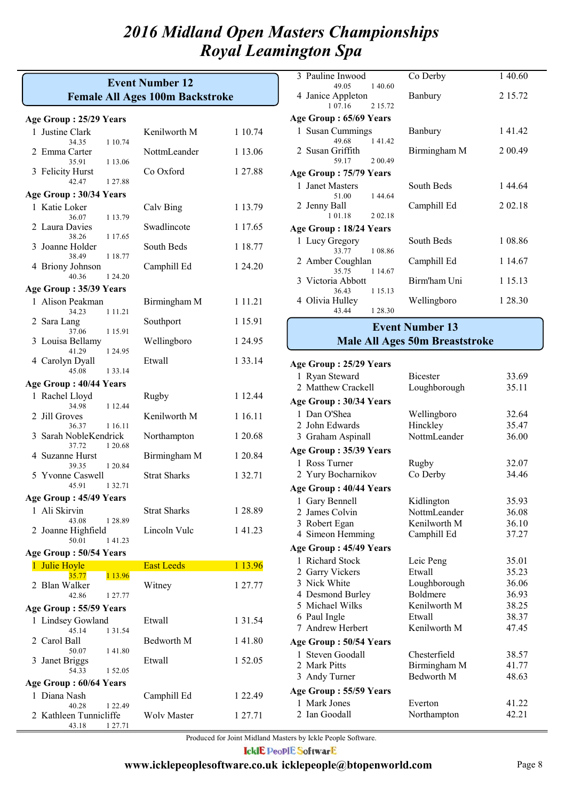## **Female All Ages 100m Backstroke Event Number 12**

|  | Age Group: 25/29 Years |  |  |  |
|--|------------------------|--|--|--|
|--|------------------------|--|--|--|

| Age Group : 25/29 Years                      |                     |             |  |  |  |
|----------------------------------------------|---------------------|-------------|--|--|--|
| 1 Justine Clark<br>1 10.74<br>34.35          | Kenilworth M        | 1 10.74     |  |  |  |
| 2 Emma Carter                                | NottmLeander        | 1 13.06     |  |  |  |
| 35.91<br>1 13.06<br>3 Felicity Hurst         | Co Oxford           | 1 27.88     |  |  |  |
| 42.47<br>1 27.88                             |                     |             |  |  |  |
| Age Group: 30/34 Years                       |                     |             |  |  |  |
| 1 Katie Loker<br>36.07<br>1 13.79            | Calv Bing           | 1 13.79     |  |  |  |
| 2 Laura Davies<br>38.26<br>1 1 7 .65         | Swadlincote         | 1 1 7 .65   |  |  |  |
| 3<br>Joanne Holder<br>38.49<br>1 18.77       | South Beds          | 1 18.77     |  |  |  |
| 4 Briony Johnson<br>40.36<br>1 24.20         | Camphill Ed         | 1 24.20     |  |  |  |
| Age Group: 35/39 Years                       |                     |             |  |  |  |
|                                              |                     |             |  |  |  |
| 1 Alison Peakman<br>34.23<br>1 1 1 1 2 1     | Birmingham M        | 1 1 1 . 2 1 |  |  |  |
| 2 Sara Lang<br>37.06<br>1 1 5 . 9 1          | Southport           | 1 15.91     |  |  |  |
| 3 Louisa Bellamy<br>41.29<br>1 24.95         | Wellingboro         | 1 24.95     |  |  |  |
| 4 Carolyn Dyall<br>45.08<br>1 3 3 1 4        | Etwall              | 1 3 3 . 1 4 |  |  |  |
| Age Group: 40/44 Years                       |                     |             |  |  |  |
| 1 Rachel Lloyd<br>34.98<br>1 12.44           | Rugby               | 1 12.44     |  |  |  |
| 2 Jill Groves<br>36.37<br>1 16.11            | Kenilworth M        | 1 16.11     |  |  |  |
| Sarah NobleKendrick<br>3<br>37.72<br>1 20.68 | Northampton         | 1 20.68     |  |  |  |
| 4 Suzanne Hurst<br>39.35<br>1 20.84          | Birmingham M        | 1 20.84     |  |  |  |
| 5 Yvonne Caswell<br>45.91<br>1 3 2 . 7 1     | <b>Strat Sharks</b> | 1 32.71     |  |  |  |
| Age Group: 45/49 Years                       |                     |             |  |  |  |
| 1 Ali Skirvin                                | <b>Strat Sharks</b> | 1 28.89     |  |  |  |
| 43.08<br>1 28.89<br>2 Joanne Highfield       | Lincoln Vulc        | 1 41.23     |  |  |  |
| 50.01<br>141.23                              |                     |             |  |  |  |
| Age Group: 50/54 Years                       |                     |             |  |  |  |
| 1 Julie Hoyle<br>35.77<br>1 13.96            | <b>East Leeds</b>   | 1 13.96     |  |  |  |
| 2 Blan Walker<br>42.86<br>1 27.77            | Witney              | 1 27.77     |  |  |  |
| Age Group: 55/59 Years                       |                     |             |  |  |  |
| 1 Lindsey Gowland                            | Etwall              | 1 3 1 .54   |  |  |  |
| 45.14<br>1 3 1 . 5 4<br>2 Carol Ball         | Bedworth M          | 141.80      |  |  |  |
| 50.07<br>141.80                              |                     |             |  |  |  |
| 3 Janet Briggs<br>54.33<br>1 52.05           | Etwall              | 1 52.05     |  |  |  |
| Age Group: 60/64 Years                       |                     |             |  |  |  |
| 1 Diana Nash<br>40.28<br>1 2 2.49            | Camphill Ed         | 1 22.49     |  |  |  |
| 2 Kathleen Tunnicliffe<br>43.18<br>1 27.71   | <b>Wolv Master</b>  | 1 27.71     |  |  |  |
|                                              |                     |             |  |  |  |

| 3 Pauline Inwood       |           | Co Derby     | 140.60   |
|------------------------|-----------|--------------|----------|
| 49.05 1.40.60          |           |              |          |
| 4 Janice Appleton      |           | Banbury      | 2 15.72  |
| 1 0 7 1 6              | 2.15.72   |              |          |
| Age Group: 65/69 Years |           |              |          |
| 1 Susan Cummings       |           | Banbury      | 141.42   |
| 49.68                  | 141.42    |              |          |
| 2 Susan Griffith       |           | Birmingham M | 2 0 0.49 |
| 59.17                  | 2 0 0.49  |              |          |
| Age Group: 75/79 Years |           |              |          |
| 1 Janet Masters        |           | South Beds   | 144.64   |
| 51.00                  | 1 44 64   |              |          |
| 2 Jenny Ball           |           | Camphill Ed  | 2 02.18  |
| 1 0 1 . 1 8            | 2 02 18   |              |          |
| Age Group: 18/24 Years |           |              |          |
| 1 Lucy Gregory         |           | South Beds   | 1 08.86  |
| 33.77 1 08.86          |           |              |          |
| 2 Amber Coughlan       |           | Camphill Ed  | 1 14.67  |
| 35.75 1 14.67          |           |              |          |
| 3 Victoria Abbott      |           | Birm'ham Uni | 1 15.13  |
| 36.43                  | 1 1 5 1 3 |              |          |
| 4 Olivia Hulley        |           | Wellingboro  | 1 28.30  |
| 43.44                  | 1 28.30   |              |          |

### **Event Number 13**

## **Male All Ages 50m Breaststroke**

#### **Age Group : 25/29 Years**

| 1 Ryan Steward         | Bicester          | 33.69 |
|------------------------|-------------------|-------|
| 2 Matthew Crackell     | Loughborough      | 35.11 |
| Age Group: 30/34 Years |                   |       |
| 1 Dan O'Shea           | Wellingboro       | 32.64 |
| 2 John Edwards         | Hinckley          | 35.47 |
| 3 Graham Aspinall      | NottmLeander      | 36.00 |
| Age Group: 35/39 Years |                   |       |
| 1 Ross Turner          | Rugby             | 32.07 |
| 2 Yury Bocharnikov     | Co Derby          | 34.46 |
| Age Group: 40/44 Years |                   |       |
| 1 Gary Bennell         | Kidlington        | 35.93 |
| 2 James Colvin         | NottmLeander      | 36.08 |
| 3 Robert Egan          | Kenilworth M      | 36.10 |
| 4 Simeon Hemming       | Camphill Ed       | 37.27 |
| Age Group: 45/49 Years |                   |       |
| 1 Richard Stock        | Leic Peng         | 35.01 |
| 2 Garry Vickers        | Etwall            | 35.23 |
| 3 Nick White           | Loughborough      | 36.06 |
| 4 Desmond Burley       | Boldmere          | 36.93 |
| 5 Michael Wilks        | Kenilworth M      | 38.25 |
| 6 Paul Ingle           | Etwall            | 38.37 |
| 7 Andrew Herbert       | Kenilworth M      | 47.45 |
| Age Group: 50/54 Years |                   |       |
| 1 Steven Goodall       | Chesterfield      | 38.57 |
| 2 Mark Pitts           | Birmingham M      | 41.77 |
| 3 Andy Turner          | <b>Bedworth M</b> | 48.63 |
| Age Group: 55/59 Years |                   |       |
| 1 Mark Jones           | Everton           | 41.22 |
| 2 Ian Goodall          | Northampton       | 42.21 |
|                        |                   |       |

Produced for Joint Midland Masters by Ickle People Software.

**IcklE PeoplE SoftwarE**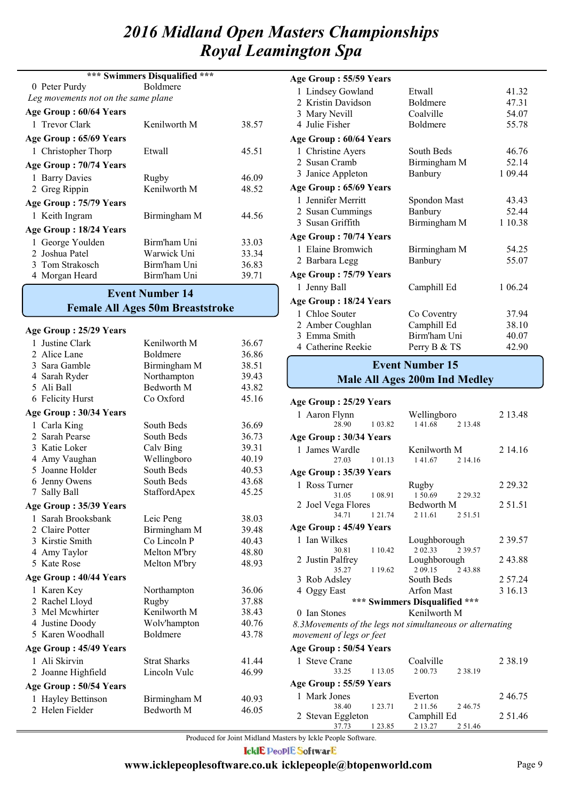|                                     | *** Swimmers Disqualified<br>$* * *$ |       |
|-------------------------------------|--------------------------------------|-------|
| 0 Peter Purdy                       | <b>Boldmere</b>                      |       |
| Leg movements not on the same plane |                                      |       |
| Age Group: 60/64 Years              |                                      |       |
| 1 Trevor Clark                      | Kenilworth M                         | 38.57 |
| Age Group: 65/69 Years              |                                      |       |
| 1 Christopher Thorp                 | Etwall                               | 45.51 |
| Age Group: 70/74 Years              |                                      |       |
| 1 Barry Davies                      | Rugby                                | 46.09 |
| 2 Greg Rippin                       | Kenilworth M                         | 48.52 |
| Age Group: 75/79 Years              |                                      |       |
| 1 Keith Ingram                      | Birmingham M                         | 44.56 |
| Age Group: 18/24 Years              |                                      |       |
| 1 George Youlden                    | Birm'ham Uni                         | 33.03 |
| 2 Joshua Patel                      | Warwick Uni                          | 33.34 |
| 3 Tom Strakosch                     | Birm'ham Uni                         | 36.83 |
| 4 Morgan Heard                      | Birm'ham Uni                         | 39.71 |

#### **Female All Ages 50m Breaststroke Event Number 14**

#### **Age Group : 25/29 Years**

| 1 Justine Clark               | Kenilworth M        | 36.67 |
|-------------------------------|---------------------|-------|
| 2 Alice Lane                  | Boldmere            | 36.86 |
| 3 Sara Gamble                 | Birmingham M        | 38.51 |
| 4 Sarah Ryder                 | Northampton         | 39.43 |
| 5 Ali Ball                    | Bedworth M          | 43.82 |
| 6 Felicity Hurst              | Co Oxford           | 45.16 |
| Age Group: 30/34 Years        |                     |       |
| 1 Carla King                  | South Beds          | 36.69 |
| 2 Sarah Pearse                | South Beds          | 36.73 |
| 3 Katie Loker                 | Calv Bing           | 39.31 |
| 4 Amy Vaughan                 | Wellingboro         | 40.19 |
| 5 Joanne Holder               | South Beds          | 40.53 |
| 6 Jenny Owens                 | South Beds          | 43.68 |
| 7 Sally Ball                  | StaffordApex        | 45.25 |
| Age Group: 35/39 Years        |                     |       |
| 1 Sarah Brooksbank            | Leic Peng           | 38.03 |
| 2 Claire Potter               | Birmingham M        | 39.48 |
| 3 Kirstie Smith               | Co Lincoln P        | 40.43 |
| 4 Amy Taylor                  | Melton M'bry        | 48.80 |
| 5 Kate Rose                   | Melton M'bry        | 48.93 |
| <b>Age Group: 40/44 Years</b> |                     |       |
| 1 Karen Key                   | Northampton         | 36.06 |
| 2 Rachel Lloyd                | Rugby               | 37.88 |
| 3 Mel Mcwhirter               | Kenilworth M        | 38.43 |
| 4 Justine Doody               | Wolv'hampton        | 40.76 |
| 5 Karen Woodhall              | <b>Boldmere</b>     | 43.78 |
| Age Group : 45/49 Years       |                     |       |
| 1 Ali Skirvin                 | <b>Strat Sharks</b> | 41.44 |
| 2 Joanne Highfield            | Lincoln Vulc        | 46.99 |
| Age Group: 50/54 Years        |                     |       |
| 1 Hayley Bettinson            | Birmingham M        | 40.93 |
| 2 Helen Fielder               | Bedworth M          | 46.05 |
|                               |                     |       |

| Age Group: 55/59 Years |              |         |
|------------------------|--------------|---------|
| 1 Lindsey Gowland      | Etwall       | 41.32   |
| 2 Kristin Davidson     | Boldmere     | 47.31   |
| 3 Mary Nevill          | Coalville    | 54.07   |
| 4 Julie Fisher         | Boldmere     | 55.78   |
| Age Group: 60/64 Years |              |         |
| 1 Christine Ayers      | South Beds   | 46.76   |
| 2 Susan Cramb          | Birmingham M | 52.14   |
| 3 Janice Appleton      | Banbury      | 1 09.44 |
| Age Group: 65/69 Years |              |         |
| 1 Jennifer Merritt     | Spondon Mast | 43.43   |
| 2 Susan Cummings       | Banbury      | 52.44   |
| 3 Susan Griffith       | Birmingham M | 1 10.38 |
| Age Group: 70/74 Years |              |         |
| 1 Elaine Bromwich      | Birmingham M | 54.25   |
| 2 Barbara Legg         | Banbury      | 55.07   |
| Age Group: 75/79 Years |              |         |
| 1 Jenny Ball           | Camphill Ed  | 1 06.24 |
| Age Group: 18/24 Years |              |         |
| 1 Chloe Souter         | Co Coventry  | 37.94   |
| 2 Amber Coughlan       | Camphill Ed  | 38.10   |
| 3 Emma Smith           | Birm'ham Uni | 40.07   |
| 4 Catherine Reekie     | Perry B & TS | 42.90   |

#### **Male All Ages 200m Ind Medley Event Number 15**

#### 1 Aaron Flynn Wellingboro 2 13.48<br>28.90 1 03.82 1 41.68 2 13.48  $141.68$ **Age Group : 25/29 Years** 1 James Wardle Kenilworth M 2 14.16<br>27.03 101.13 141.67 2 14.16 27.03 1 01.13 1 41.67 2 14.16 **Age Group : 30/34 Years** 1 Ross Turner Rugby 2 29.32 31.05 1 08.91 1 50.69 2 29.32 **Age Group : 35/39 Years** 2 Joel Vega Flores Bedworth M 2 51.51<br>34.71 1 21.74 2 11.61 2 51.51 1 21.74 1 Ian Wilkes Loughborough 2 39.57<br>30.81 1 10.42 2 02.33 2 39.57 30.81 1 10.42 2 02.33 2 39.57<br>Palfrey Loughborough **Age Group : 45/49 Years** 2 Justin Palfrey Loughborough 2 43.88<br>35.27 119.62 2 09.15 2 43.88 1 19.62 2 09.15 2 43.88<br>South Beds 3 Rob Adsley South Beds 2 57.24 4 Oggy East Arfon Mast 3 16.13 *8.3Movements of the legs not simultaneous or alternating movement of legs or feet* 50 Ian Stones Kenilworth M **\*\*\* Swimmers Disqualified \*\*\*** 1 Steve Crane Coalville 2 38.19 33.25 1 13.05 2 00.73 2 38.19 **Age Group : 50/54 Years**

|       |       | Age Group: 55/59 Years                    |             |                      |             |           |
|-------|-------|-------------------------------------------|-------------|----------------------|-------------|-----------|
| ham M | 40.93 | 1 Mark Jones<br>38.40                     | 1 2 3 . 7 1 | Everton<br>2 1 1 5 6 | 246.75      | 246.75    |
| h M   | 46.05 | 2 Stevan Eggleton                         |             | Camphill Ed          |             | 2 5 1 .46 |
|       |       | 37.73<br>10 T. J. THIS . IT . THE . I . O | 1 23.85     | 2 13.27              | 2 5 1 . 4 6 |           |

Produced for Joint Midland Masters by Ickle People Software.

**IcklE PeoplE SoftwarE**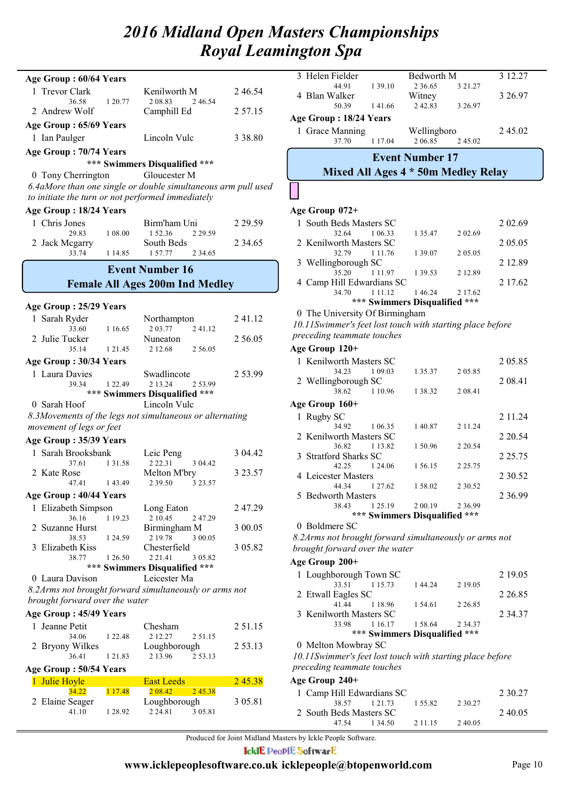| Age Group: 60/64 Years             |             |                                                               |           |
|------------------------------------|-------------|---------------------------------------------------------------|-----------|
| 1 Trevor Clark                     |             | Kenilworth M                                                  | 246.54    |
| 36.58<br>2 Andrew Wolf             | 1 20.77     | 2 08.83<br>2 46.54<br>Camphill Ed                             | 2 57.15   |
| Age Group: 65/69 Years             |             |                                                               |           |
| 1 Ian Paulger                      |             | Lincoln Vulc                                                  | 3 38.80   |
| Age Group: 70/74 Years             |             |                                                               |           |
|                                    |             | *** Swimmers Disqualified ***                                 |           |
| 0 Tony Cherrington                 |             | Gloucester M                                                  |           |
|                                    |             | 6.4aMore than one single or double simultaneous arm pull used |           |
|                                    |             | to initiate the turn or not performed immediately             |           |
| Age Group: 18/24 Years             |             |                                                               |           |
| 1 Chris Jones<br>29.83             | 1 08:00     | Birm'ham Uni<br>152.36<br>2 2 9 . 5 9                         | 2 29.59   |
| 2 Jack Megarry                     |             | South Beds                                                    | 2 34.65   |
| 33.74                              | 1 14.85     | 157.77<br>2 34.65                                             |           |
|                                    |             | <b>Event Number 16</b>                                        |           |
|                                    |             | <b>Female All Ages 200m Ind Medley</b>                        |           |
| Age Group: 25/29 Years             |             |                                                               |           |
| 1 Sarah Ryder                      |             | Northampton                                                   | 2 41.12   |
| 33.60                              | 1 16.65     | 203.77<br>241.12                                              |           |
| 2 Julie Tucker<br>35.14            | 1 2 1 4 5   | Nuneaton<br>2 56.05<br>2 12.68                                | 2 56.05   |
| Age Group: 30/34 Years             |             |                                                               |           |
| 1 Laura Davies                     |             | Swadlincote                                                   | 2 53.99   |
| 39.34                              | 1 22.49     | 2 13.24<br>2 53.99                                            |           |
|                                    |             | *** Swimmers Disqualified ***                                 |           |
| 0 Sarah Hoof                       |             | Lincoln Vulc                                                  |           |
| movement of legs or feet           |             | 8.3Movements of the legs not simultaneous or alternating      |           |
| Age Group: 35/39 Years             |             |                                                               |           |
| 1 Sarah Brooksbank                 |             | Leic Peng                                                     | 3 04.42   |
| 37.61                              | 1 3 1 . 5 8 | 2 2 2 . 3 1<br>3 04.42                                        |           |
| 2 Kate Rose                        |             | Melton M'bry                                                  | 3 23.57   |
| 47.41                              | 143.49      | 3 23.57<br>2 39.50                                            |           |
| Age Group: 40/44 Years             |             |                                                               |           |
| 1 Elizabeth Simpson<br>36.16       | 1 19.23     | Long Eaton<br>2 10.45<br>2 47.29                              | 247.29    |
| 2 Suzanne Hurst                    |             | Birmingham M                                                  | 3 00.05   |
| 38.53                              | 1 24.59     | 2 19.78<br>3 00.05                                            |           |
| Elizabeth Kiss<br>3<br>38.77       | 1 26.50     | Chesterfield<br>2 2 1 .4 1<br>3 05.82                         | 3 05.82   |
|                                    |             | *** Swimmers Disqualified ***                                 |           |
| 0 Laura Davison                    |             | Leicester Ma                                                  |           |
| brought forward over the water     |             | 8.2Arms not brought forward simultaneously or arms not        |           |
| Age Group: 45/49 Years             |             |                                                               |           |
| 1 Jeanne Petit                     |             | Chesham                                                       | 2 5 1 .15 |
| 34.06                              | 1 2 2.48    | 2 12.27<br>2 51.15                                            |           |
| <b>Bryony Wilkes</b><br>2<br>36.41 | 1 2 1 .8 3  | Loughborough<br>2 13.96<br>2 53.13                            | 2 53.13   |
| Age Group: 50/54 Years             |             |                                                               |           |
| 1 Julie Hoyle                      |             | <b>East Leeds</b>                                             | 245.38    |
| 34.22                              | 1 17.48     | 2 08.42<br>2 45.38                                            |           |
| Elaine Seager<br>2                 |             | Loughborough                                                  | 3 05.81   |
| 41.10                              | 1 28.92     | 2 2 4 . 8 1<br>3 05.81                                        |           |
|                                    |             |                                                               |           |

|   | 3 Helen Fielder                                           |             | Bedworth M                          |         | 3 12.27 |
|---|-----------------------------------------------------------|-------------|-------------------------------------|---------|---------|
|   | 44.91                                                     | 1 39.10     | 2 3 6 6 5                           | 3 21.27 |         |
|   | 4 Blan Walker                                             |             | Witney                              |         | 3 26.97 |
|   | 50.39                                                     | 141.66      | 242.83                              | 3 26.97 |         |
|   | Age Group: 18/24 Years                                    |             |                                     |         |         |
| 1 | <b>Grace Manning</b>                                      |             | Wellingboro                         |         | 245.02  |
|   | 37.70                                                     | 1 1 7 0 4   | 2.06.85                             | 2 45.02 |         |
|   |                                                           |             | <b>Event Number 17</b>              |         |         |
|   |                                                           |             | Mixed All Ages 4 * 50m Medley Relay |         |         |
|   |                                                           |             |                                     |         |         |
|   | Age Group 072+                                            |             |                                     |         |         |
|   | 1 South Beds Masters SC                                   |             |                                     |         | 2 02.69 |
|   | 32.64                                                     | 1 06.33     | 1 35.47                             | 2 02.69 |         |
|   | 2 Kenilworth Masters SC                                   |             |                                     |         | 2 05.05 |
|   | 32.79                                                     | 1 1 1 .76   | 1 39.07                             | 2 05.05 |         |
|   | 3 Wellingborough SC                                       |             |                                     |         | 2 12.89 |
|   | 35.20                                                     | 1 1 1 . 9 7 | 1 39.53                             | 2 12.89 |         |
|   | 4 Camp Hill Edwardians SC                                 |             |                                     |         | 2 17.62 |
|   | 34.70                                                     | 1 1 1 1 1 2 | 1 46.24                             | 2 17.62 |         |
|   |                                                           |             | *** Swimmers Disqualified ***       |         |         |
|   | 0 The University Of Birmingham                            |             |                                     |         |         |
|   | 10.11Swimmer's feet lost touch with starting place before |             |                                     |         |         |
|   | preceding teammate touches                                |             |                                     |         |         |
|   | Age Group 120+                                            |             |                                     |         |         |
|   | 1 Kenilworth Masters SC                                   |             |                                     |         | 2 05.85 |
|   | 34.23                                                     | 1 09.03     | 1 35.37                             | 2 05.85 |         |
|   | 2 Wellingborough SC                                       |             |                                     |         | 2 08 41 |
|   | 38.62                                                     | 1 10.96     | 1 38.32                             | 2 08.41 |         |
|   |                                                           |             |                                     |         |         |

|                         |           | *** Swimmers Disqualified *** |             |            |
|-------------------------|-----------|-------------------------------|-------------|------------|
| 38.43                   | 1 25.19   | 2 00.19                       | 2 3 6 9 9   |            |
| 5 Bedworth Masters      |           |                               |             | 2 3 6 9 9  |
| 44.34                   | 1 2 7 6 2 | 1.58.02                       | 2 30.52     |            |
| 4 Leicester Masters     |           |                               |             | 2 3 0 .5 2 |
| 42.25                   | 1 24.06   | 156.15                        | 2 2 5 . 7 5 |            |
| 3 Stratford Sharks SC   |           |                               |             | 2 2 5 7 5  |
| 36.82                   | 1 1 3 8 2 | 1 50.96                       | 2 2 0 . 5 4 |            |
| 2 Kenilworth Masters SC |           |                               |             | 2 2 0 5 4  |
| 34.92                   | 1 06.35   | 140.87                        | 2 11.24     |            |
| 1 Rugby SC              |           |                               |             | 2 1 1 .24  |
| Age Group 160+          |           |                               |             |            |
| 38.62                   | 1 10.96   | 1 38.32                       | 2 08.41     |            |
|                         |           |                               |             |            |

<sup>0</sup> Boldmere SC

*8.2Arms not brought forward simultaneously or arms not brought forward over the water*

#### **Age Group 200+**

| 0 Melton Mowbray SC     |               |                               |           |           |
|-------------------------|---------------|-------------------------------|-----------|-----------|
|                         |               | *** Swimmers Disqualified *** |           |           |
|                         | 33.98 1 16.17 | 1 58.64                       | 2 3 4 3 7 |           |
| 3 Kenilworth Masters SC |               |                               |           | 2 3 4 3 7 |
|                         | 41.44 1.18.96 | 1 54.61                       | 2 2 6 8 5 |           |
| 2 Etwall Eagles SC      |               |                               |           | 2 2 6 8 5 |
|                         | 33.51 15.73   | 144.24                        | 2 19.05   |           |
| 1 Loughborough Town SC  |               |                               |           | 2 19.05   |
|                         |               |                               |           |           |

*10.11Swimmer's feet lost touch with starting place before preceding teammate touches*

**Age Group 240+**

| 1 Camp Hill Edwardians SC |         |           |         | 2 30 27 |
|---------------------------|---------|-----------|---------|---------|
| 38.57 1 21.73             |         | 1.55.82   | 2 30 27 |         |
| 2 South Beds Masters SC   |         |           |         | 240.05  |
| 47.54                     | 1 34 50 | 2 1 1 1 5 | 240.05  |         |
|                           |         |           |         |         |

Produced for Joint Midland Masters by Ickle People Software.

**IcklE PeoplE SoftwarE**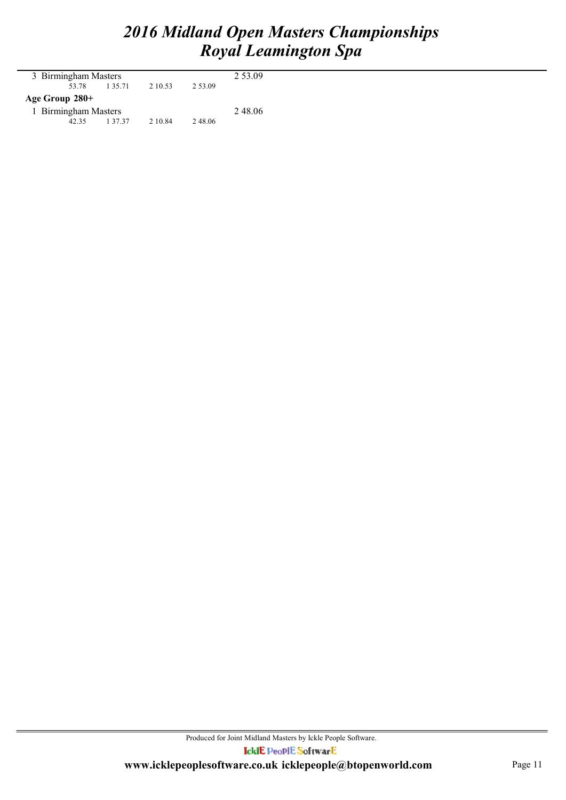| 3 Birmingham Masters |       |             |         |           | 2 53.09 |  |  |  |
|----------------------|-------|-------------|---------|-----------|---------|--|--|--|
|                      | 53.78 | 1 3 5 . 7 1 | 2 10.53 | 2 5 3 0 9 |         |  |  |  |
| Age Group 280+       |       |             |         |           |         |  |  |  |
| 1 Birmingham Masters |       |             |         |           | 248.06  |  |  |  |
|                      | 42.35 | 1 3 7 . 3 7 | 2 10.84 | 2 48.06   |         |  |  |  |
|                      |       |             |         |           |         |  |  |  |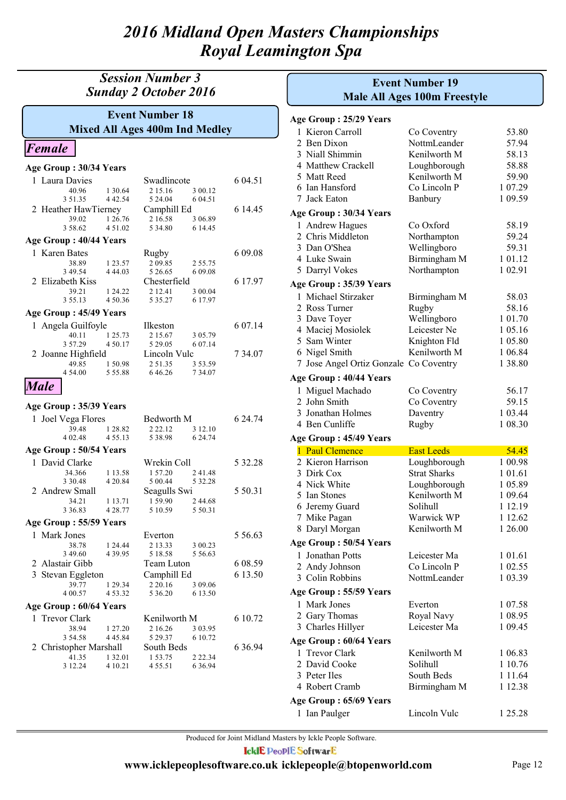## *Session Number 3 Sunday 2 October 2016*

## **Mixed All Ages 400m Ind Medley Event Number 18**

## *Female*

| Age Group: 30/34 Years              |                    |                        |                          |           |
|-------------------------------------|--------------------|------------------------|--------------------------|-----------|
| 1 Laura Davies                      |                    | Swadlincote            |                          | 6 04.51   |
| 40.96                               | 1 30.64            | 2 15.16                | 3 00.12                  |           |
| 3 51.35                             | 4 4 2 . 5 4        | 5 24 04                | 6 04.51                  |           |
| 2 Heather HawTierney                |                    | Camphill Ed            |                          | 6 14.45   |
| 39.02<br>358.62                     | 1 26.76<br>4 51.02 | 2 16.58<br>5 34.80     | 3 06.89<br>6 14.45       |           |
| Age Group: 40/44 Years              |                    |                        |                          |           |
| 1 Karen Bates                       |                    | Rugby                  |                          | 6 09.08   |
| 38.89                               | 1 23.57            | 209.85                 | 2 55.75                  |           |
| 3 49.54                             | 4 4 4 .03          | 5 26.65                | 6 09.08                  |           |
| 2 Elizabeth Kiss                    |                    | Chesterfield           |                          | 6 17.97   |
| 39.21<br>3 55.13                    | 1 24.22<br>4 50.36 | 2 12.41<br>5 3 5 . 2 7 | 3 00.04<br>6 17.97       |           |
| Age Group: 45/49 Years              |                    |                        |                          |           |
| 1 Angela Guilfoyle                  |                    | Ilkeston               |                          | 6 07.14   |
| 40.11                               | 1 25.73            | 2 15.67                | 3 05.79                  |           |
| 3 57.29                             | 450.17             | 5 29.05                | 6 07.14                  |           |
| 2 Joanne Highfield                  |                    | Lincoln Vulc           |                          | 7 34.07   |
| 49.85                               | 150.98             | 251.35                 | 3 53.59                  |           |
| 4 54.00                             | 5 5 5 .88          | 646.26                 | 7 34.07                  |           |
| <b>Male</b>                         |                    |                        |                          |           |
| Age Group: 35/39 Years              |                    |                        |                          |           |
| 1 Joel Vega Flores                  |                    |                        |                          |           |
|                                     |                    | Bedworth M             |                          | 6 24.74   |
| 39.48                               | 1 28.82            | 2 2 2 . 1 2            | 3 12.10                  |           |
| 4 02.48                             | 4 5 5 . 1 3        | 5 38.98                | 6 24.74                  |           |
| Age Group: 50/54 Years              |                    |                        |                          |           |
| 1 David Clarke                      |                    | Wrekin Coll            |                          | 5 32.28   |
| 34.366                              | 1 13.58            | 1 57.20                | 241.48                   |           |
| 3 3 0 . 4 8                         | 4 20.84            | 5 00.44                | 5 32.28                  |           |
| 2 Andrew Small                      |                    | Seagulls Swi           |                          | 5 50.31   |
| 34.21                               | 1 13.71            | 1 59.90                | 2 44.68                  |           |
| 3 3 6 8 3<br>Age Group: 55/59 Years | 4 28.77            | 5 10.59                | 5 50.31                  |           |
| 1 Mark Jones                        |                    | Everton                |                          | 5 56.63   |
| 38.78                               | 1 24.44            | 2 13.33                | 3 00.23                  |           |
| 3 49.60                             | 4 3 9 . 9 5        | 5 18.58                | 5 5 6 6 6 3              |           |
| 2 Alastair Gibb                     |                    | Team Luton             |                          | 6 08.59   |
| 3 Stevan Eggleton                   |                    | Camphill Ed            |                          | 6 13.50   |
| 39.77                               | 1 29.34            | 2 2 0 1 6              | 3 09.06                  |           |
| 4 00.57                             | 453.32             | 5 36.20                | 6 13.50                  |           |
| Age Group: 60/64 Years              |                    |                        |                          |           |
| 1 Trevor Clark                      |                    | Kenilworth M           |                          | 6 10.72   |
| 38.94                               | 1 27.20            | 2 16.26                | 3 03.95                  |           |
| 3 54.58                             | 4 4 5 .8 4         | 5 29.37                | 6 10.72                  |           |
| 2 Christopher Marshall              |                    | South Beds             |                          | 6 3 6 9 4 |
| 41.35<br>3 12.24                    | 1 32.01<br>4 10.21 | 153.75<br>455.51       | 2 2 2 . 3 4<br>6 3 6 9 4 |           |

| <b>Event Number 19</b><br><b>Male All Ages 100m Freestyle</b> |                                                          |                     |         |
|---------------------------------------------------------------|----------------------------------------------------------|---------------------|---------|
|                                                               | Age Group : 25/29 Years                                  |                     |         |
|                                                               | 1 Kieron Carroll                                         | Co Coventry         | 53.80   |
|                                                               | 2 Ben Dixon                                              | NottmLeander        | 57.94   |
|                                                               | 3 Niall Shimmin                                          | Kenilworth M        | 58.13   |
|                                                               | 4 Matthew Crackell                                       | Loughborough        | 58.88   |
|                                                               | 5 Matt Reed                                              | Kenilworth M        | 59.90   |
|                                                               | 6 Ian Hansford                                           | Co Lincoln P        | 1 07.29 |
|                                                               | 7 Jack Eaton                                             | Banbury             | 1 09.59 |
|                                                               | Age Group: 30/34 Years                                   |                     |         |
|                                                               | 1 Andrew Hagues                                          | Co Oxford           | 58.19   |
|                                                               | 2 Chris Middleton                                        | Northampton         | 59.24   |
|                                                               | 3 Dan O'Shea                                             | Wellingboro         | 59.31   |
|                                                               | 4 Luke Swain                                             | Birmingham M        | 1 01.12 |
|                                                               | 5 Darryl Vokes                                           | Northampton         | 1 02.91 |
|                                                               | Age Group: 35/39 Years                                   |                     |         |
|                                                               | 1 Michael Stirzaker                                      | Birmingham M        | 58.03   |
|                                                               | 2 Ross Turner                                            | Rugby               | 58.16   |
|                                                               | 3 Dave Toyer                                             | Wellingboro         | 1 01.70 |
|                                                               | 4 Maciej Mosiolek                                        | Leicester Ne        | 1 05.16 |
|                                                               | 5 Sam Winter                                             | Knighton Fld        | 1 05.80 |
|                                                               | 6 Nigel Smith                                            | Kenilworth M        | 1 06.84 |
| 7.                                                            | Jose Angel Ortiz Gonzale Co Coventry                     |                     | 1 38.80 |
|                                                               | Age Group : 40/44 Years                                  |                     |         |
| $\mathbf{I}$                                                  | Miguel Machado                                           | Co Coventry         | 56.17   |
|                                                               | 2 John Smith                                             | Co Coventry         | 59.15   |
|                                                               | 3 Jonathan Holmes                                        | Daventry            | 1 03.44 |
|                                                               | 4 Ben Cunliffe                                           | Rugby               | 1 08.30 |
|                                                               | Age Group : 45/49 Years                                  |                     |         |
|                                                               | 1 Paul Clemence                                          | <b>East Leeds</b>   | 54.45   |
|                                                               | 2 Kieron Harrison                                        | Loughborough        | 1 00.98 |
|                                                               | 3 Dirk Cox                                               | <b>Strat Sharks</b> | 1 01.61 |
|                                                               | 4 Nick White                                             | Loughborough        | 1 05.89 |
|                                                               | 5 Ian Stones                                             | Kenilworth M        | 1 09.64 |
|                                                               | 6 Jeremy Guard                                           | Solihull            | 1 12.19 |
|                                                               | 7 Mike Pagan                                             | Warwick WP          | 1 12.62 |
|                                                               | 8 Daryl Morgan                                           | Kenilworth M        | 1 26.00 |
|                                                               | Age Group: 50/54 Years                                   |                     |         |
|                                                               | 1 Jonathan Potts                                         | Leicester Ma        | 1 01.61 |
|                                                               | 2 Andy Johnson                                           | Co Lincoln P        | 1 02.55 |
|                                                               | 3 Colin Robbins                                          | NottmLeander        | 1 03.39 |
|                                                               | Age Group: 55/59 Years                                   |                     |         |
|                                                               | 1 Mark Jones                                             | Everton             | 1 07.58 |
|                                                               | 2 Gary Thomas                                            | Royal Navy          | 1 08.95 |
|                                                               | 3 Charles Hillyer                                        | Leicester Ma        | 1 09.45 |
|                                                               | Age Group: 60/64 Years                                   |                     |         |
|                                                               | 1 Trevor Clark                                           | Kenilworth M        | 1 06.83 |
|                                                               | 2 David Cooke                                            | Solihull            | 1 10.76 |
|                                                               |                                                          |                     |         |
|                                                               | 3 Peter Iles                                             | South Beds          | 1 11.64 |
|                                                               | 4 Robert Cramb<br>$\Lambda$ ga Croun $\cdot$ 65/60 Vears | Birmingham M        | 1 12.38 |

**Age Group : 65/69 Years**

1 Ian Paulger Lincoln Vulc 1 25.28

Produced for Joint Midland Masters by Ickle People Software. **IcklE PeoplE SoftwarE**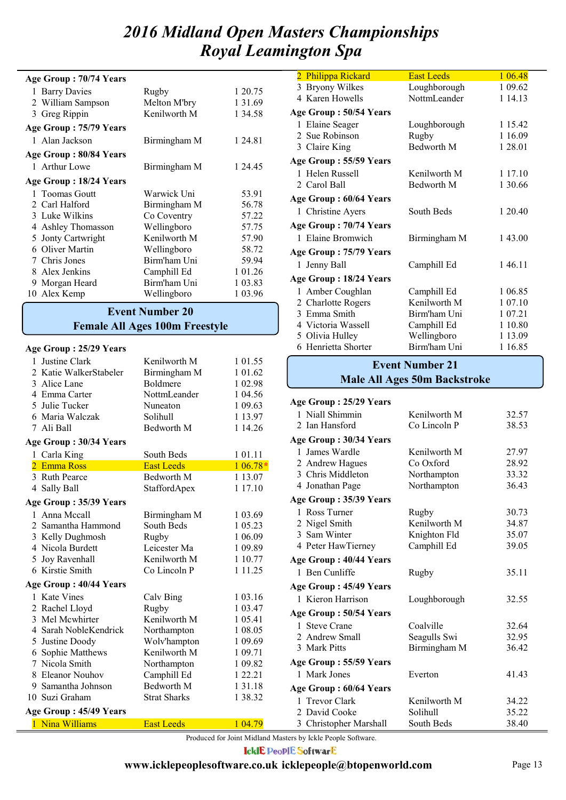| Age Group: 70/74 Years |              |           |
|------------------------|--------------|-----------|
| 1 Barry Davies         | Rugby        | 1 20.75   |
| 2 William Sampson      | Melton M'bry | 1 3 1 .69 |
| Greg Rippin<br>3       | Kenilworth M | 1 34.58   |
| Age Group: 75/79 Years |              |           |
| 1 Alan Jackson         | Birmingham M | 1 24.81   |
| Age Group: 80/84 Years |              |           |
| 1 Arthur Lowe          | Birmingham M | 1 24.45   |
| Age Group: 18/24 Years |              |           |
| 1 Toomas Goutt         | Warwick Uni  | 53.91     |
| 2 Carl Halford         | Birmingham M | 56.78     |
| 3 Luke Wilkins         | Co Coventry  | 57.22     |
| 4 Ashley Thomasson     | Wellingboro  | 57.75     |
| 5 Jonty Cartwright     | Kenilworth M | 57.90     |
| 6 Oliver Martin        | Wellingboro  | 58.72     |
| 7 Chris Jones          | Birm'ham Uni | 59.94     |
| 8 Alex Jenkins         | Camphill Ed  | 1 01.26   |
| 9 Morgan Heard         | Birm'ham Uni | 1 03.83   |
| 10 Alex Kemp           | Wellingboro  | 1 03.96   |

## **Female All Ages 100m Freestyle Event Number 20**

#### **Age Group : 25/29 Years**

| 1            | Justine Clark          | Kenilworth M        | 1 01.55     |
|--------------|------------------------|---------------------|-------------|
|              | 2 Katie WalkerStabeler | Birmingham M        | 1 01.62     |
|              | 3 Alice Lane           | Boldmere            | 1 02.98     |
|              | 4 Emma Carter          | NottmLeander        | 1 04.56     |
|              | 5 Julie Tucker         | Nuneaton            | 1 09.63     |
|              | 6 Maria Walczak        | Solihull            | 1 13.97     |
|              | 7 Ali Ball             | Bedworth M          | 1 14.26     |
|              | Age Group: 30/34 Years |                     |             |
| $\mathbf{1}$ | Carla King             | South Beds          | 1 01.11     |
|              | 2 Emma Ross            | <b>East Leeds</b>   | $106.78*$   |
|              | 3 Ruth Pearce          | Bedworth M          | 1 13.07     |
|              | 4 Sally Ball           | StaffordApex        | 1 17.10     |
|              | Age Group: 35/39 Years |                     |             |
|              | 1 Anna Mccall          | Birmingham M        | 1 03.69     |
| 2            | Samantha Hammond       | South Beds          | 1 05.23     |
|              | 3 Kelly Dughmosh       | Rugby               | 1 06.09     |
|              | 4 Nicola Burdett       | Leicester Ma        | 1 09.89     |
|              | 5 Joy Ravenhall        | Kenilworth M        | 1 10.77     |
|              | 6 Kirstie Smith        | Co Lincoln P        | 1 1 1 . 2 5 |
|              | Age Group: 40/44 Years |                     |             |
|              | 1 Kate Vines           | Calv Bing           | 1 03.16     |
|              | 2 Rachel Lloyd         | Rugby               | 1 03.47     |
|              | 3 Mel Mcwhirter        | Kenilworth M        | 1 05.41     |
|              | 4 Sarah NobleKendrick  | Northampton         | 1 08.05     |
|              | 5 Justine Doody        | Wolv'hampton        | 1 09.69     |
|              | 6 Sophie Matthews      | Kenilworth M        | 1 09.71     |
|              | 7 Nicola Smith         | Northampton         | 1 09.82     |
|              | 8 Eleanor Nouhov       | Camphill Ed         | 1 22.21     |
|              | 9 Samantha Johnson     | Bedworth M          | 1 3 1 . 1 8 |
|              | 10 Suzi Graham         | <b>Strat Sharks</b> | 1 38.32     |
|              | Age Group: 45/49 Years |                     |             |
|              | 1 Nina Williams        | <b>East Leeds</b>   | 1 04.79     |

| 2 Philippa Rickard     | <b>East Leeds</b> | 1 06.48 |
|------------------------|-------------------|---------|
| 3 Bryony Wilkes        | Loughborough      | 1 09.62 |
| 4 Karen Howells        | NottmLeander      | 1 14.13 |
| Age Group: 50/54 Years |                   |         |
| 1 Elaine Seager        | Loughborough      | 1 15.42 |
| 2 Sue Robinson         | Rugby             | 1 16.09 |
| 3 Claire King          | Bedworth M        | 1 28.01 |
| Age Group: 55/59 Years |                   |         |
| 1 Helen Russell        | Kenilworth M      | 1 17.10 |
| 2 Carol Ball           | Bedworth M        | 1 30.66 |
| Age Group: 60/64 Years |                   |         |
| 1 Christine Ayers      | South Beds        | 1 20.40 |
| Age Group: 70/74 Years |                   |         |
| 1 Elaine Bromwich      | Birmingham M      | 1 43.00 |
| Age Group: 75/79 Years |                   |         |
| 1 Jenny Ball           | Camphill Ed       | 146.11  |
| Age Group: 18/24 Years |                   |         |
| 1 Amber Coughlan       | Camphill Ed       | 1 06.85 |
| 2 Charlotte Rogers     | Kenilworth M      | 1 07.10 |
| 3 Emma Smith           | Birm'ham Uni      | 1 07.21 |
| 4 Victoria Wassell     | Camphill Ed       | 1 10.80 |
| 5 Olivia Hulley        | Wellingboro       | 1 13.09 |
| 6 Henrietta Shorter    | Birm'ham Uni      | 1 16.85 |

#### **Male All Ages 50m Backstroke Event Number 21**

| Age Group: 25/29 Years |              |       |
|------------------------|--------------|-------|
| 1 Niall Shimmin        | Kenilworth M | 32.57 |
| 2 Ian Hansford         | Co Lincoln P | 38.53 |
| Age Group: 30/34 Years |              |       |
| 1 James Wardle         | Kenilworth M | 27.97 |
| 2 Andrew Hagues        | Co Oxford    | 28.92 |
| 3 Chris Middleton      | Northampton  | 33.32 |
| 4 Jonathan Page        | Northampton  | 36.43 |
| Age Group: 35/39 Years |              |       |
| 1 Ross Turner          | Rugby        | 30.73 |
| 2 Nigel Smith          | Kenilworth M | 34.87 |
| 3 Sam Winter           | Knighton Fld | 35.07 |
| 4 Peter HawTierney     | Camphill Ed  | 39.05 |
| Age Group: 40/44 Years |              |       |
| 1 Ben Cunliffe         | Rugby        | 35.11 |
| Age Group: 45/49 Years |              |       |
| 1 Kieron Harrison      | Loughborough | 32.55 |
| Age Group: 50/54 Years |              |       |
| 1 Steve Crane          | Coalville    | 32.64 |
| 2 Andrew Small         | Seagulls Swi | 32.95 |
| 3 Mark Pitts           | Birmingham M | 36.42 |
| Age Group: 55/59 Years |              |       |
| 1 Mark Jones           | Everton      | 41.43 |
| Age Group: 60/64 Years |              |       |
| 1 Trevor Clark         | Kenilworth M | 34.22 |
| 2 David Cooke          | Solihull     | 35.22 |
| 3 Christopher Marshall | South Beds   | 38.40 |

Produced for Joint Midland Masters by Ickle People Software.

**IcklE PeoplE SoftwarE**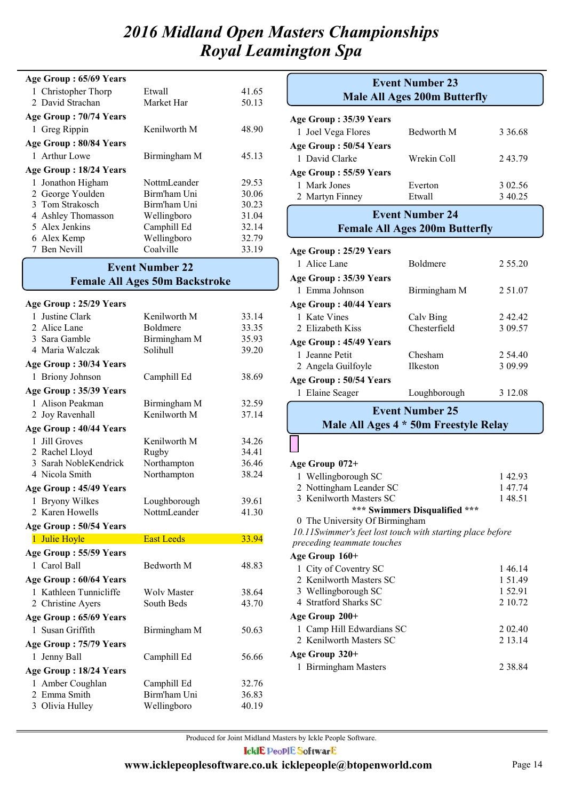| Age Group: 65/69 Years |              |       |
|------------------------|--------------|-------|
| 1 Christopher Thorp    | Etwall       | 41.65 |
| 2 David Strachan       | Market Har   | 50.13 |
| Age Group: 70/74 Years |              |       |
| 1 Greg Rippin          | Kenilworth M | 48.90 |
| Age Group: 80/84 Years |              |       |
| 1 Arthur Lowe          | Birmingham M | 45.13 |
|                        |              |       |
| Age Group: 18/24 Years |              |       |
| 1 Jonathon Higham      | NottmLeander | 29.53 |
| 2 George Youlden       | Birm'ham Uni | 30.06 |
| 3 Tom Strakosch        | Birm'ham Uni | 30.23 |
| 4 Ashley Thomasson     | Wellingboro  | 31.04 |
| 5 Alex Jenkins         | Camphill Ed  | 32.14 |
| 6 Alex Kemp            | Wellingboro  | 32.79 |

## **Female All Ages 50m Backstroke Event Number 22**

| Age Group: 25/29 Years          |                             |                |
|---------------------------------|-----------------------------|----------------|
| 1 Justine Clark                 | Kenilworth M                | 33.14          |
| 2 Alice Lane                    | <b>Boldmere</b>             | 33.35          |
| 3 Sara Gamble                   | Birmingham M                | 35.93          |
| 4 Maria Walczak                 | Solihull                    | 39.20          |
| Age Group: 30/34 Years          |                             |                |
| 1 Briony Johnson                | Camphill Ed                 | 38.69          |
| Age Group: 35/39 Years          |                             |                |
| 1 Alison Peakman                | Birmingham M                | 32.59          |
| 2 Joy Ravenhall                 | Kenilworth M                | 37.14          |
| Age Group: 40/44 Years          |                             |                |
| 1 Jill Groves                   | Kenilworth M                | 34.26          |
| 2 Rachel Lloyd                  | Rugby                       | 34.41          |
| 3 Sarah NobleKendrick           | Northampton                 | 36.46          |
| 4 Nicola Smith                  | Northampton                 | 38.24          |
| Age Group: 45/49 Years          |                             |                |
| 1 Bryony Wilkes                 | Loughborough                | 39.61          |
|                                 |                             |                |
| 2 Karen Howells                 | <b>NottmLeander</b>         | 41.30          |
| Age Group: 50/54 Years          |                             |                |
| 1 Julie Hoyle                   | <b>East Leeds</b>           | 33.94          |
| Age Group: 55/59 Years          |                             |                |
| 1 Carol Ball                    | <b>Bedworth M</b>           | 48.83          |
| Age Group: 60/64 Years          |                             |                |
| 1 Kathleen Tunnicliffe          | <b>Wolv Master</b>          | 38.64          |
| 2 Christine Ayers               | South Beds                  | 43.70          |
| Age Group: 65/69 Years          |                             |                |
| 1 Susan Griffith                | Birmingham M                | 50.63          |
| Age Group: 75/79 Years          |                             |                |
| 1 Jenny Ball                    | Camphill Ed                 | 56.66          |
| Age Group: 18/24 Years          |                             |                |
| 1 Amber Coughlan                | Camphill Ed                 | 32.76          |
| 2 Emma Smith<br>3 Olivia Hulley | Birm'ham Uni<br>Wellingboro | 36.83<br>40.19 |

|                        | <b>Event Number 23</b><br><b>Male All Ages 200m Butterfly</b> |         |  |  |
|------------------------|---------------------------------------------------------------|---------|--|--|
| Age Group: 35/39 Years |                                                               |         |  |  |
| 1 Joel Vega Flores     | <b>Bedworth M</b>                                             | 3 36.68 |  |  |
| Age Group: 50/54 Years |                                                               |         |  |  |
| 1 David Clarke         | Wrekin Coll                                                   | 243.79  |  |  |
| Age Group: 55/59 Years |                                                               |         |  |  |
| 1 Mark Jones           | Everton                                                       | 3 02.56 |  |  |
| 2 Martyn Finney        | Etwall                                                        | 3 40.25 |  |  |
|                        | <b>Event Number 24</b>                                        |         |  |  |
|                        | <b>Female All Ages 200m Butterfly</b>                         |         |  |  |
| Age Group: 25/29 Years |                                                               |         |  |  |
| 1 Alice Lane           | <b>Boldmere</b>                                               | 2 55.20 |  |  |
| Age Group: 35/39 Years |                                                               |         |  |  |
| 1 Emma Johnson         | Birmingham M                                                  | 2 51.07 |  |  |
| Age Group: 40/44 Years |                                                               |         |  |  |
| 1 Kate Vines           | Calv Bing                                                     | 242.42  |  |  |
| 2 Elizabeth Kiss       | Chesterfield                                                  | 3 09.57 |  |  |
| Age Group: 45/49 Years |                                                               |         |  |  |
| 1 Jeanne Petit         | Chesham                                                       | 2 54.40 |  |  |
| 2 Angela Guilfoyle     | <b>Ilkeston</b>                                               | 3 09.99 |  |  |
| Age Group: 50/54 Years |                                                               |         |  |  |
| 1 Elaine Seager        | Loughborough                                                  | 3 12.08 |  |  |
| <b>Event Number 25</b> |                                                               |         |  |  |
|                        | Male All Ages 4 * 50m Freestyle Relay                         |         |  |  |

#### **Age Group 072+**

| 1 Wellingborough SC            | 14293  |
|--------------------------------|--------|
| 2 Nottingham Leander SC        | 14774  |
| 3 Kenilworth Masters SC        | 148.51 |
| *** Swimmers Disqualified ***  |        |
| 0 The University Of Birmingham |        |

*10.11Swimmer's feet lost touch with starting place before preceding teammate touches*

1 City of Coventry SC 146.14 **Age Group 160+**

| 2 Kenilworth Masters SC   | 1 5 1 4 9 |
|---------------------------|-----------|
| 3 Wellingborough SC       | 1 52.91   |
| 4 Stratford Sharks SC     | 2 10.72   |
| Age Group 200+            |           |
| 1 Camp Hill Edwardians SC | 2 0 2 4 0 |
| 2 Kenilworth Masters SC   | 2 13 14   |
| Age Group 320+            |           |
| 1 Birmingham Masters      | 2 38 84   |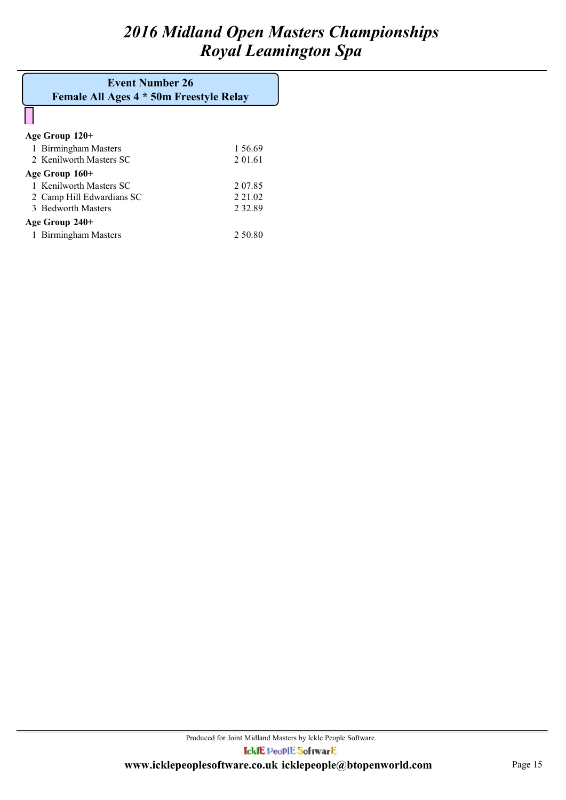## **Female All Ages 4 \* 50m Freestyle Relay Event Number 26**

| Age Group 120+            |           |
|---------------------------|-----------|
| 1 Birmingham Masters      | 1.56.69   |
| 2 Kenilworth Masters SC   | 2 01.61   |
| Age Group 160+            |           |
| 1 Kenilworth Masters SC   | 2 07.85   |
| 2 Camp Hill Edwardians SC | 2 2 1 0 2 |
| 3 Bedworth Masters        | 2 3 2 8 9 |
| Age Group 240+            |           |
| 1 Birmingham Masters      | 2 50.80   |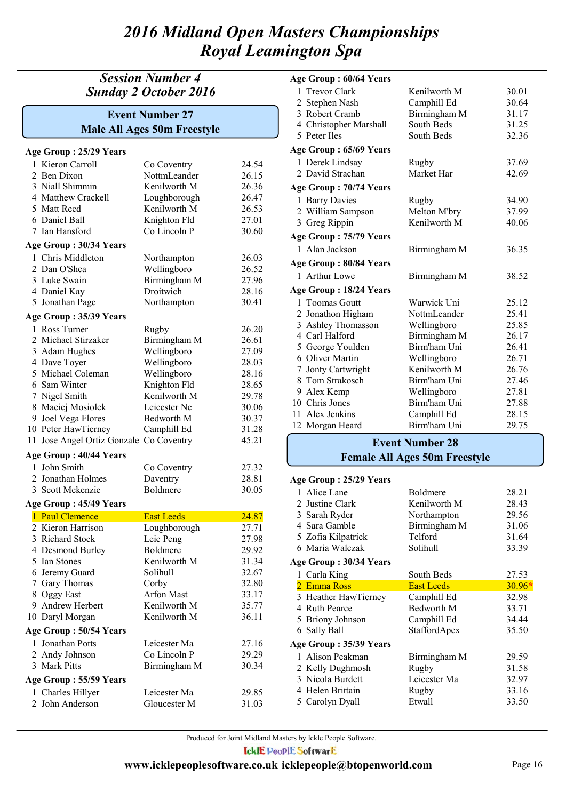## *Session Number 4 Sunday 2 October 2016*

## **Male All Ages 50m Freestyle Event Number 27**

|    | Age Group: 25/29 Years   |                   |       |
|----|--------------------------|-------------------|-------|
|    | 1 Kieron Carroll         | Co Coventry       | 24.54 |
|    | 2 Ben Dixon              | NottmLeander      | 26.15 |
|    | 3 Niall Shimmin          | Kenilworth M      | 26.36 |
|    | 4 Matthew Crackell       | Loughborough      | 26.47 |
|    | 5 Matt Reed              | Kenilworth M      | 26.53 |
|    | 6 Daniel Ball            | Knighton Fld      | 27.01 |
|    | 7 Ian Hansford           | Co Lincoln P      | 30.60 |
|    | Age Group: 30/34 Years   |                   |       |
|    | 1 Chris Middleton        | Northampton       | 26.03 |
|    | 2 Dan O'Shea             | Wellingboro       | 26.52 |
|    | 3 Luke Swain             | Birmingham M      | 27.96 |
|    | 4 Daniel Kay             | Droitwich         | 28.16 |
|    | 5 Jonathan Page          | Northampton       | 30.41 |
|    | Age Group: 35/39 Years   |                   |       |
|    | 1 Ross Turner            | Rugby             | 26.20 |
|    | 2 Michael Stirzaker      | Birmingham M      | 26.61 |
|    | 3 Adam Hughes            | Wellingboro       | 27.09 |
|    | 4 Dave Toyer             | Wellingboro       | 28.03 |
|    | 5 Michael Coleman        | Wellingboro       | 28.16 |
|    | 6 Sam Winter             | Knighton Fld      | 28.65 |
|    | 7 Nigel Smith            | Kenilworth M      | 29.78 |
|    | 8 Maciej Mosiolek        | Leicester Ne      | 30.06 |
|    | 9 Joel Vega Flores       | Bedworth M        | 30.37 |
|    | 10 Peter HawTierney      | Camphill Ed       | 31.28 |
| 11 | Jose Angel Ortiz Gonzale | Co Coventry       | 45.21 |
|    |                          |                   |       |
|    | Age Group: 40/44 Years   |                   |       |
|    | 1 John Smith             | Co Coventry       | 27.32 |
|    | 2 Jonathan Holmes        | Daventry          | 28.81 |
|    | 3 Scott Mckenzie         | <b>Boldmere</b>   | 30.05 |
|    | Age Group: 45/49 Years   |                   |       |
|    | 1 Paul Clemence          | <b>East Leeds</b> | 24.87 |
|    | 2 Kieron Harrison        | Loughborough      | 27.71 |
|    | 3 Richard Stock          | Leic Peng         | 27.98 |
|    | 4 Desmond Burley         | Boldmere          | 29.92 |
|    | 5 Ian Stones             | Kenilworth M      | 31.34 |
|    | 6 Jeremy Guard           | Solihull          | 32.67 |
|    | 7 Gary Thomas            | Corby             | 32.80 |
|    | 8 Oggy East              | <b>Arfon Mast</b> | 33.17 |
|    | 9 Andrew Herbert         | Kenilworth M      | 35.77 |
|    | 10 Daryl Morgan          | Kenilworth M      | 36.11 |
|    | Age Group: 50/54 Years   |                   |       |
|    | 1 Jonathan Potts         | Leicester Ma      | 27.16 |
|    | 2 Andy Johnson           | Co Lincoln P      | 29.29 |
|    | 3 Mark Pitts             | Birmingham M      | 30.34 |
|    | Age Group: 55/59 Years   |                   |       |
|    | 1 Charles Hillyer        | Leicester Ma      | 29.85 |
|    | 2 John Anderson          | Gloucester M      | 31.03 |

#### **Age Group : 60/64 Years**

| 1 Trevor Clark         | Kenilworth M | 30.01 |
|------------------------|--------------|-------|
| 2 Stephen Nash         | Camphill Ed  | 30.64 |
| 3 Robert Cramb         | Birmingham M | 31.17 |
| 4 Christopher Marshall | South Beds   | 31.25 |
| 5 Peter Iles           | South Beds   | 32.36 |
| Age Group: 65/69 Years |              |       |
| 1 Derek Lindsay        | Rugby        | 37.69 |
| 2 David Strachan       | Market Har   | 42.69 |
| Age Group: 70/74 Years |              |       |
| 1 Barry Davies         | Rugby        | 34.90 |
| 2 William Sampson      | Melton M'bry | 37.99 |
| 3 Greg Rippin          | Kenilworth M | 40.06 |
| Age Group: 75/79 Years |              |       |
| 1 Alan Jackson         | Birmingham M | 36.35 |
| Age Group: 80/84 Years |              |       |
| 1 Arthur Lowe          | Birmingham M | 38.52 |
| Age Group: 18/24 Years |              |       |
| 1 Toomas Goutt         | Warwick Uni  | 25.12 |
| 2 Jonathon Higham      | NottmLeander | 25.41 |
| 3 Ashley Thomasson     | Wellingboro  | 25.85 |
| 4 Carl Halford         | Birmingham M | 26.17 |
| 5 George Youlden       | Birm'ham Uni | 26.41 |
| 6 Oliver Martin        | Wellingboro  | 26.71 |
| 7 Jonty Cartwright     | Kenilworth M | 26.76 |
| 8 Tom Strakosch        | Birm'ham Uni | 27.46 |
| 9 Alex Kemp            | Wellingboro  | 27.81 |
| 10 Chris Jones         | Birm'ham Uni | 27.88 |
| 11 Alex Jenkins        | Camphill Ed  | 28.15 |
| 12 Morgan Heard        | Birm'ham Uni | 29.75 |

## **Female All Ages 50m Freestyle Event Number 28**

#### **Age Group : 25/29 Years**

| 1 Alice Lane           | Boldmere          | 28.21    |
|------------------------|-------------------|----------|
| 2 Justine Clark        | Kenilworth M      | 28.43    |
| 3 Sarah Ryder          | Northampton       | 29.56    |
| 4 Sara Gamble          | Birmingham M      | 31.06    |
| 5 Zofia Kilpatrick     | Telford           | 31.64    |
| 6 Maria Walczak        | Solihull          | 33.39    |
| Age Group: 30/34 Years |                   |          |
| 1 Carla King           | South Beds        | 27.53    |
| 2 Emma Ross            | <b>East Leeds</b> | $30.96*$ |
| 3 Heather HawTierney   | Camphill Ed       | 32.98    |
| 4 Ruth Pearce          | Bedworth M        | 33.71    |
| 5 Briony Johnson       | Camphill Ed       | 34.44    |
| 6 Sally Ball           | StaffordApex      | 35.50    |
| Age Group: 35/39 Years |                   |          |
| 1 Alison Peakman       | Birmingham M      | 29.59    |
| 2 Kelly Dughmosh       | Rugby             | 31.58    |
| 3 Nicola Burdett       | Leicester Ma      | 32.97    |
| 4 Helen Brittain       | Rugby             | 33.16    |
| 5 Carolyn Dyall        | Etwall            | 33.50    |
|                        |                   |          |

Produced for Joint Midland Masters by Ickle People Software.

**IcklE PeoplE SoftwarE**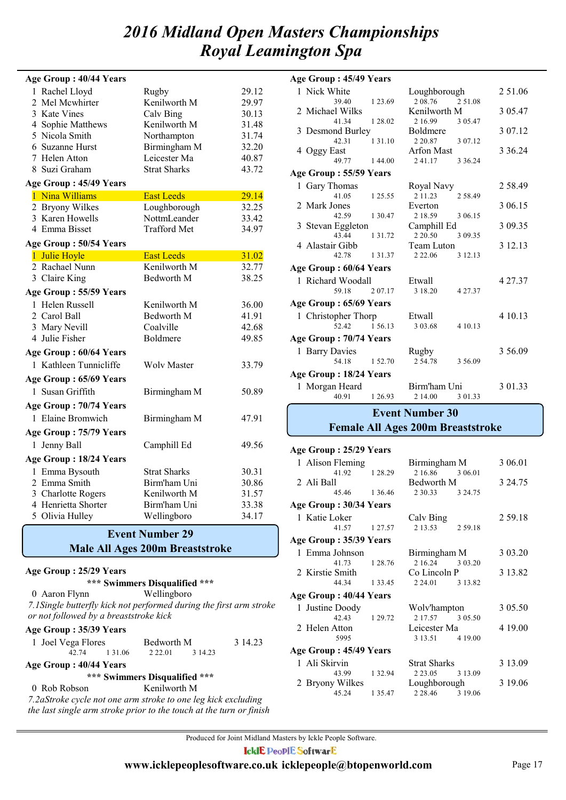|   | Age Group: 40/44 Years |                     |       |
|---|------------------------|---------------------|-------|
|   | 1 Rachel Lloyd         | Rugby               | 29.12 |
| 2 | Mel Mcwhirter          | Kenilworth M        | 29.97 |
|   | 3 Kate Vines           | Calv Bing           | 30.13 |
|   | 4 Sophie Matthews      | Kenilworth M        | 31.48 |
|   | 5 Nicola Smith         | Northampton         | 31.74 |
|   | 6 Suzanne Hurst        | Birmingham M        | 32.20 |
|   | 7 Helen Atton          | Leicester Ma        | 40.87 |
|   | 8 Suzi Graham          | <b>Strat Sharks</b> | 43.72 |
|   | Age Group: 45/49 Years |                     |       |
|   | 1 Nina Williams        | <b>East Leeds</b>   | 29.14 |
|   | 2 Bryony Wilkes        | Loughborough        | 32.25 |
|   | 3 Karen Howells        | NottmLeander        | 33.42 |
|   | 4 Emma Bisset          | <b>Trafford Met</b> | 34.97 |
|   | Age Group: 50/54 Years |                     |       |
|   | 1 Julie Hoyle          | <b>East Leeds</b>   | 31.02 |
|   | 2 Rachael Nunn         | Kenilworth M        | 32.77 |
|   | 3 Claire King          | <b>Bedworth M</b>   | 38.25 |
|   | Age Group: 55/59 Years |                     |       |
|   | 1 Helen Russell        | Kenilworth M        | 36.00 |
|   | 2 Carol Ball           | Bedworth M          | 41.91 |
|   | 3 Mary Nevill          | Coalville           | 42.68 |
|   | 4 Julie Fisher         | Boldmere            | 49.85 |
|   | Age Group: 60/64 Years |                     |       |
|   | 1 Kathleen Tunnicliffe | <b>Wolv Master</b>  | 33.79 |
|   | Age Group: 65/69 Years |                     |       |
|   | 1 Susan Griffith       | Birmingham M        | 50.89 |
|   | Age Group: 70/74 Years |                     |       |
|   | 1 Elaine Bromwich      | Birmingham M        | 47.91 |
|   | Age Group: 75/79 Years |                     |       |
|   | 1 Jenny Ball           | Camphill Ed         | 49.56 |
|   | Age Group: 18/24 Years |                     |       |
|   | 1 Emma Bysouth         | <b>Strat Sharks</b> | 30.31 |
|   | 2 Emma Smith           | Birm'ham Uni        | 30.86 |
|   | 3 Charlotte Rogers     | Kenilworth M        | 31.57 |
|   | 4 Henrietta Shorter    | Birm'ham Uni        | 33.38 |
|   | 5 Olivia Hulley        | Wellingboro         | 34.17 |

#### **Male All Ages 200m Breaststroke Event Number 29**

#### **Age Group : 25/29 Years**

|                                                                                                               |               | *** Swimmers Disqualified *** |         |         |
|---------------------------------------------------------------------------------------------------------------|---------------|-------------------------------|---------|---------|
| 0 Aaron Flynn                                                                                                 |               | Wellingboro                   |         |         |
| 7.1 Single butterfly kick not performed during the first arm stroke<br>or not followed by a breaststroke kick |               |                               |         |         |
| Age Group: 35/39 Years                                                                                        |               |                               |         |         |
| 1 Joel Vega Flores                                                                                            |               | Bedworth M                    |         | 3 14.23 |
|                                                                                                               | 42.74 1.31.06 | 2 2 2 .01                     | 3 14.23 |         |
| Age Group: 40/44 Years                                                                                        |               |                               |         |         |
|                                                                                                               |               | *** Swimmers Disqualified *** |         |         |
| 0 Rob Robson                                                                                                  |               | Kenilworth M                  |         |         |
| 7.2aStroke cycle not one arm stroke to one leg kick excluding                                                 |               |                               |         |         |
| the last single arm stroke prior to the touch at the turn or finish                                           |               |                               |         |         |

| Age Group: 45/49 Years |                        |             |                   |             |           |
|------------------------|------------------------|-------------|-------------------|-------------|-----------|
|                        | 1 Nick White           |             | Loughborough      |             | 2 51.06   |
|                        | 39.40                  | 1 23.69     | 2 08.76 2 51.08   |             |           |
|                        | 2 Michael Wilks        |             | Kenilworth M      |             | 3 05.47   |
|                        | 41.34                  | 1 28.02     | 2 16.99           | 3 05.47     |           |
|                        | 3 Desmond Burley       |             | <b>Boldmere</b>   |             | 3 07.12   |
|                        | 42.31                  | 1 3 1 . 1 0 | 2 2 0.87          | 3 07.12     |           |
|                        | 4 Oggy East            |             | <b>Arfon Mast</b> |             | 3 3 6 2 4 |
|                        | 49.77                  | 144.00      | 241.17            | 3 3 6 2 4   |           |
|                        | Age Group: 55/59 Years |             |                   |             |           |
|                        | 1 Gary Thomas          |             | Royal Navy        |             | 258.49    |
|                        | 41.05                  | 1 25.55     | 2 1 1 . 2 3       | 2 58.49     |           |
|                        | 2 Mark Jones           |             | Everton           |             | 3 06.15   |
|                        | 42.59                  | 1 3 0 4 7   | 2 18.59           | 3 06.15     |           |
|                        | 3 Stevan Eggleton      |             | Camphill Ed       |             | 3 09.35   |
|                        | 43 44                  | 1 3 1 . 7 2 | 2 2 0 .50         | 3 09.35     |           |
|                        | 4 Alastair Gibb        |             | Team Luton        |             | 3 12.13   |
|                        | 42.78                  | 1 3 1 . 3 7 | 2 2 2 .06         | 3 12.13     |           |
|                        | Age Group: 60/64 Years |             |                   |             |           |
|                        | 1 Richard Woodall      |             | Etwall            |             | 4 27.37   |
|                        | 59 18                  | 2 0 7 1 7   | 3 18.20           | 4 2 7 . 3 7 |           |
|                        | Age Group: 65/69 Years |             |                   |             |           |
|                        | 1 Christopher Thorp    |             | Etwall            |             | 4 10.13   |
|                        | 52.42                  | 1 56.13     | 3 03.68           | 4 10 13     |           |
|                        | Age Group: 70/74 Years |             |                   |             |           |
|                        | 1 Barry Davies         |             | Rugby             |             | 3 56.09   |
|                        | 54.18                  | 1 52.70     | 254.78            | 3 56.09     |           |
|                        | Age Group: 18/24 Years |             |                   |             |           |
|                        |                        |             |                   |             |           |
|                        | 1 Morgan Heard         |             | Birm'ham Uni      |             | 3 01.33   |
|                        | 40.91                  | 1 26.93     | 2 14.00           | 3 01.33     |           |
|                        | <b>Event Number 30</b> |             |                   |             |           |

## **Female All Ages 200m Breaststroke**

| Age Group: 25/29 Years |               |                         |         |
|------------------------|---------------|-------------------------|---------|
| 1 Alison Fleming       |               | Birmingham M            | 3 06.01 |
| 41.92 1 28.29          |               | 2 16.86 3 06.01         |         |
| 2 Ali Ball             |               | Bedworth M              | 3 24.75 |
| 45.46 1 36.46          |               | 2 3 0 .33 3 24 .75      |         |
| Age Group: 30/34 Years |               |                         |         |
| 1 Katie Loker          |               | Calv Bing               | 2 59.18 |
| 41.57 1 27.57          |               | 2 13.53 2 59.18         |         |
| Age Group: 35/39 Years |               |                         |         |
| 1 Emma Johnson         |               | Birmingham M            | 3 03.20 |
| 41.73 1 28.76          |               | 2 16.24 3 03.20         |         |
| 2 Kirstie Smith        |               | Co Lincoln P            | 3 13.82 |
| 44.34 1 33.45          |               | 2 24.01 3 13.82         |         |
| Age Group: 40/44 Years |               |                         |         |
| 1 Justine Doody        |               | Wolv'hampton            | 3 05.50 |
| 42.43 1 29.72          |               | 2 17.57 3 05.50         |         |
| 2 Helen Atton          |               | Leicester Ma            | 4 19.00 |
| 5995                   |               | 3 13.51 4 19.00         |         |
| Age Group: 45/49 Years |               |                         |         |
| 1 Ali Skirvin          |               | Strat Sharks            | 3 13.09 |
|                        | 43.99 1 32.94 | 2 2 3 .05 3 1 3 .09     |         |
| 2 Bryony Wilkes        |               | Loughborough            | 3 19.06 |
| 45.24                  |               | 1 35.47 2 28.46 3 19.06 |         |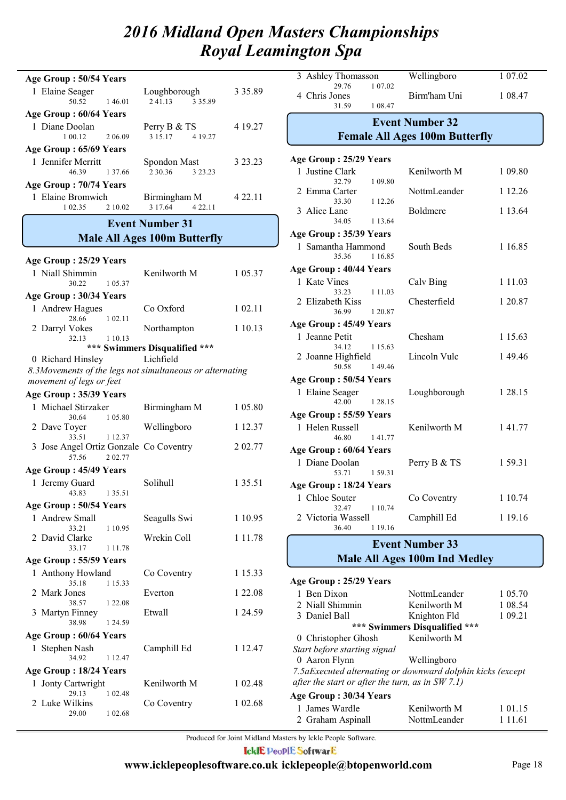| Age Group: 50/54 Years                                   |                                     |             |
|----------------------------------------------------------|-------------------------------------|-------------|
| 1 Elaine Seager<br>50.52<br>146.01                       | Loughborough<br>2.41.13 3.35.89     | 3 3 5 . 8 9 |
| Age Group: 60/64 Years                                   |                                     |             |
| 1 Diane Doolan<br>1 00.12<br>2 06 09                     | Perry B & TS<br>3 15.17<br>4 19.27  | 4 19.27     |
| Age Group: 65/69 Years                                   |                                     |             |
| 1 Jennifer Merritt<br>46.39<br>1 3 7 .66                 | Spondon Mast<br>2 30.36<br>3 23.23  | 3 23.23     |
| Age Group: 70/74 Years                                   |                                     |             |
| 1 Elaine Bromwich<br>2 10.02<br>1 02.35                  | Birmingham M<br>3 17.64<br>4 2 2.11 | 4 2 2.11    |
|                                                          | <b>Event Number 31</b>              |             |
|                                                          | <b>Male All Ages 100m Butterfly</b> |             |
|                                                          |                                     |             |
| Age Group: 25/29 Years                                   |                                     |             |
| 1 Niall Shimmin<br>30.22<br>1 05:37                      | Kenilworth M                        | 1 05.37     |
| Age Group: 30/34 Years                                   |                                     |             |
| 1 Andrew Hagues                                          | Co Oxford                           | 1 02.11     |
| 1 02.11<br>28.66                                         |                                     |             |
| 2 Darryl Vokes<br>32.13<br>1 10.13                       | Northampton                         | 1 10.13     |
|                                                          | *** Swimmers Disqualified ***       |             |
| 0 Richard Hinsley                                        | Lichfield                           |             |
| 8.3Movements of the legs not simultaneous or alternating |                                     |             |
| movement of legs or feet                                 |                                     |             |
| Age Group: 35/39 Years                                   |                                     |             |
| 1 Michael Stirzaker                                      | Birmingham M                        | 1 05.80     |
| 30.64<br>1 05.80<br>2 Dave Toyer                         | Wellingboro                         | 1 12.37     |
| 33.51<br>1 12.37                                         |                                     |             |
| 3 Jose Angel Ortiz Gonzale<br>2 02.77<br>57.56           | Co Coventry                         | 2 02.77     |
| Age Group: 45/49 Years                                   |                                     |             |
| 1 Jeremy Guard<br>1 35.51<br>43.83                       | Solihull                            | 1 35.51     |
| Age Group: 50/54 Years                                   |                                     |             |
| 1 Andrew Small<br>33.21<br>1 10.95                       | Seagulls Swi                        | 1 10.95     |
| 2 David Clarke                                           | Wrekin Coll                         | 1 1 1 . 7 8 |
| 33.17<br>1 1 1 .78                                       |                                     |             |
| Age Group: 55/59 Years                                   |                                     |             |
| 1 Anthony Howland<br>35.18<br>1 15.33                    | Co Coventry                         | 1 15.33     |
| 2 Mark Jones<br>38.57<br>1 2 2 . 0 8                     | Everton                             | 1 22.08     |
| 3 Martyn Finney                                          | Etwall                              | 1 24.59     |
| 38.98<br>1 24.59                                         |                                     |             |
| Age Group: 60/64 Years                                   |                                     |             |
| 1 Stephen Nash<br>34.92<br>1 12.47                       | Camphill Ed                         | 1 12.47     |
| Age Group: 18/24 Years                                   |                                     |             |
| 1 Jonty Cartwright<br>29.13<br>1 02.48                   | Kenilworth M                        | 1 02.48     |
| 2 Luke Wilkins                                           | Co Coventry                         | 1 02.68     |
| 29.00<br>1 02.68                                         |                                     |             |

| 3<br>Ashley Thomasson<br>29.76               | Wellingboro<br>1 07.02                 | 1 07.02    |  |  |  |  |
|----------------------------------------------|----------------------------------------|------------|--|--|--|--|
| 4 Chris Jones<br>31.59                       | Birm'ham Uni<br>1 08.47                | 1 08.47    |  |  |  |  |
|                                              | <b>Event Number 32</b>                 |            |  |  |  |  |
|                                              | <b>Female All Ages 100m Butterfly</b>  |            |  |  |  |  |
| Age Group: 25/29 Years                       |                                        |            |  |  |  |  |
| 1 Justine Clark                              | Kenilworth M                           | 1 09.80    |  |  |  |  |
| 32.79<br>2 Emma Carter                       | 1 09.80<br>NottmLeander                | 1 12.26    |  |  |  |  |
| 33.30<br>3 Alice Lane                        | 1 12.26<br>Boldmere                    | 1 13.64    |  |  |  |  |
| 34.05                                        | 1 13.64                                |            |  |  |  |  |
| Age Group: 35/39 Years<br>1 Samantha Hammond | South Beds                             | 1 16.85    |  |  |  |  |
| 35.36                                        | 1 16.85                                |            |  |  |  |  |
| Age Group: 40/44 Years                       |                                        |            |  |  |  |  |
| 1 Kate Vines                                 | Calv Bing                              | 1 1 1 .0 3 |  |  |  |  |
| 33.23<br>2 Elizabeth Kiss<br>36.99           | 1 1 1 . 0 3<br>Chesterfield<br>1 20.87 | 1 20.87    |  |  |  |  |
| Age Group: 45/49 Years                       |                                        |            |  |  |  |  |
| 1 Jeanne Petit                               | Chesham                                | 1 15.63    |  |  |  |  |
| 34.12                                        | 1 15.63                                |            |  |  |  |  |
| 2 Joanne Highfield<br>50.58                  | Lincoln Vulc<br>149.46                 | 149.46     |  |  |  |  |
| Age Group: 50/54 Years                       |                                        |            |  |  |  |  |
| 1 Elaine Seager<br>42.00                     | Loughborough<br>1 28.15                | 1 28.15    |  |  |  |  |
| Age Group: 55/59 Years                       |                                        |            |  |  |  |  |
| 1 Helen Russell<br>46.80                     | Kenilworth M<br>141.77                 | 1 41.77    |  |  |  |  |
|                                              | Age Group: 60/64 Years                 |            |  |  |  |  |
| 1 Diane Doolan                               | Perry B & TS                           | 159.31     |  |  |  |  |
| 53.71                                        | 159.31                                 |            |  |  |  |  |
| Age Group: 18/24 Years                       |                                        |            |  |  |  |  |
| 1 Chloe Souter<br>32.47                      | Co Coventry<br>1 10.74                 | 1 10.74    |  |  |  |  |
| 2 Victoria Wassell<br>36.40                  | Camphill Ed<br>1 19.16                 | 1 19.16    |  |  |  |  |
| <b>Event Number 33</b>                       |                                        |            |  |  |  |  |

## **Male All Ages 100m Ind Medley**

| Age Group: 25/29 Years                                      |                               |           |
|-------------------------------------------------------------|-------------------------------|-----------|
| 1 Ben Dixon                                                 | NottmLeander                  | 1 05.70   |
| 2 Niall Shimmin                                             | Kenilworth M                  | 1 08:54   |
| 3 Daniel Ball                                               | Knighton Fld                  | 1 09.21   |
|                                                             | *** Swimmers Disqualified *** |           |
| 0 Christopher Ghosh                                         | Kenilworth M                  |           |
| Start before starting signal                                |                               |           |
| 0 Aaron Flynn                                               | Wellingboro                   |           |
| 7.5 aExecuted alternating or downward dolphin kicks (except |                               |           |
| after the start or after the turn, as in $SW 7.1$ )         |                               |           |
| Age Group: 30/34 Years                                      |                               |           |
| James Wardle                                                | Kenilworth M                  | 1 01 15   |
| 2 Graham Aspinall                                           | NottmLeander                  | 1 1 1 .61 |
|                                                             |                               |           |

Produced for Joint Midland Masters by Ickle People Software.

**IcklE PeoplE SoftwarE**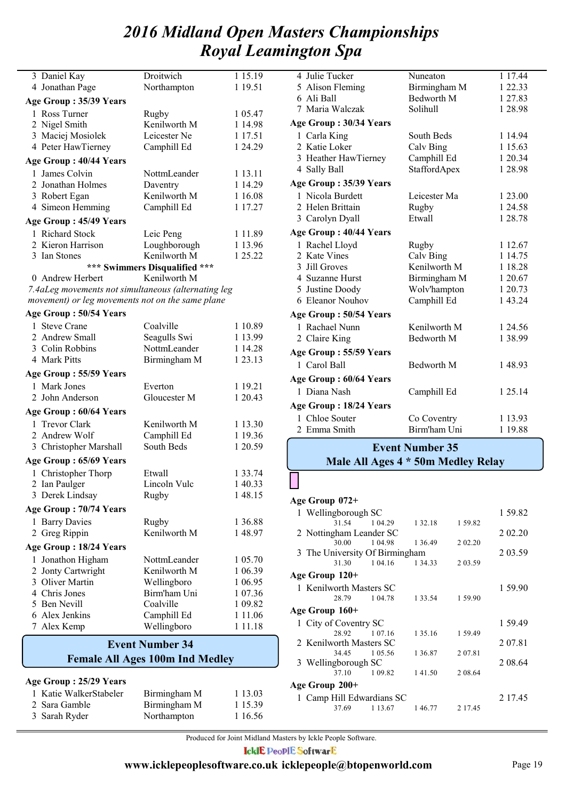|   | 3 Daniel Kay                                        | Droitwich                     | 1 15.19     |
|---|-----------------------------------------------------|-------------------------------|-------------|
|   | 4 Jonathan Page                                     | Northampton                   | 1 19.51     |
|   | Age Group: 35/39 Years                              |                               |             |
|   | 1 Ross Turner                                       | Rugby                         | 1 05.47     |
|   | 2 Nigel Smith                                       | Kenilworth M                  | 1 14.98     |
|   | 3 Maciej Mosiolek                                   | Leicester Ne                  | 1 17.51     |
|   | 4 Peter HawTierney                                  | Camphill Ed                   | 1 24.29     |
|   | Age Group: 40/44 Years                              |                               |             |
|   | 1 James Colvin                                      | NottmLeander                  | 1 13.11     |
|   | 2 Jonathan Holmes                                   | Daventry                      | 1 14.29     |
|   | 3 Robert Egan                                       | Kenilworth M                  | 1 16.08     |
|   | 4 Simeon Hemming                                    | Camphill Ed                   | 1 17.27     |
|   | Age Group: 45/49 Years                              |                               |             |
|   | 1 Richard Stock                                     | Leic Peng                     | 1 1 1 .89   |
|   | 2 Kieron Harrison                                   | Loughborough                  | 1 13.96     |
|   | 3 Ian Stones                                        | Kenilworth M                  | 1 25.22     |
|   |                                                     | *** Swimmers Disqualified *** |             |
|   | 0 Andrew Herbert                                    | Kenilworth M                  |             |
|   | 7.4aLeg movements not simultaneous (alternating leg |                               |             |
|   | movement) or leg movements not on the same plane    |                               |             |
|   | Age Group: 50/54 Years                              |                               |             |
|   | 1 Steve Crane                                       | Coalville                     | 1 10.89     |
|   | 2 Andrew Small                                      | Seagulls Swi                  | 1 13.99     |
|   | 3 Colin Robbins                                     | NottmLeander                  | 1 14.28     |
|   | 4 Mark Pitts                                        | Birmingham M                  | 1 23.13     |
|   | Age Group: 55/59 Years                              |                               |             |
|   | 1 Mark Jones                                        | Everton                       | 1 19.21     |
|   | 2 John Anderson                                     | Gloucester M                  | 1 20.43     |
|   | Age Group: 60/64 Years                              |                               |             |
|   | 1 Trevor Clark                                      | Kenilworth M                  | 1 13.30     |
|   | 2 Andrew Wolf                                       | Camphill Ed                   | 1 19.36     |
|   | 3 Christopher Marshall                              | South Beds                    | 1 20.59     |
|   | Age Group: 65/69 Years                              |                               |             |
|   | 1 Christopher Thorp                                 | Etwall                        | 1 33.74     |
|   | 2 Ian Paulger                                       | Lincoln Vulc                  | 1 40.33     |
|   | 3 Derek Lindsay                                     | Rugby                         | 1 48.15     |
|   | Age Group: 70/74 Years                              |                               |             |
| 1 | <b>Barry Davies</b>                                 | Rugby                         | 1 36.88     |
|   | 2 Greg Rippin                                       | Kenilworth M                  | 148.97      |
|   | Age Group: 18/24 Years                              |                               |             |
| 1 | Jonathon Higham                                     | NottmLeander                  | 1 05.70     |
|   | 2 Jonty Cartwright                                  | Kenilworth M                  | 1 06.39     |
|   | 3 Oliver Martin                                     | Wellingboro                   | 1 06.95     |
|   | 4 Chris Jones                                       | Birm'ham Uni                  | 1 07.36     |
|   | 5 Ben Nevill                                        | Coalville                     | 1 09.82     |
|   | 6 Alex Jenkins                                      | Camphill Ed                   | 1 1 1 .0 6  |
|   | 7 Alex Kemp                                         | Wellingboro                   | 1 1 1 . 1 8 |

## **Female All Ages 100m Ind Medley Event Number 34**

#### **Age Group : 25/29 Years**

| 1 Katie WalkerStabeler | Birmingham M | 1 13.03   |
|------------------------|--------------|-----------|
| 2 Sara Gamble          | Birmingham M | 1 1 5 3 9 |
| 3 Sarah Ryder          | Northampton  | 1 16.56   |

| 4 Julie Tucker         | Nuneaton            | 1 17.44 |
|------------------------|---------------------|---------|
| 5 Alison Fleming       | Birmingham M        | 1 22.33 |
| 6 Ali Ball             | Bedworth M          | 1 27.83 |
| 7 Maria Walczak        | Solihull            | 1 28.98 |
| Age Group: 30/34 Years |                     |         |
| 1 Carla King           | South Beds          | 1 14.94 |
| 2 Katie Loker          | Calv Bing           | 1 15.63 |
| 3 Heather HawTierney   | Camphill Ed         | 1 20.34 |
| 4 Sally Ball           | <b>StaffordApex</b> | 1 28.98 |
| Age Group: 35/39 Years |                     |         |
| 1 Nicola Burdett       | Leicester Ma        | 1 23.00 |
| 2 Helen Brittain       | Rugby               | 1 24.58 |
| 3 Carolyn Dyall        | Etwall              | 1 28.78 |
| Age Group: 40/44 Years |                     |         |
| 1 Rachel Lloyd         | Rugby               | 1 12.67 |
| 2 Kate Vines           | Calv Bing           | 1 14.75 |
| 3 Jill Groves          | Kenilworth M        | 1 18.28 |
| 4 Suzanne Hurst        | Birmingham M        | 1 20.67 |
| 5 Justine Doody        | Wolv'hampton        | 1 20.73 |
| 6 Eleanor Nouhov       | Camphill Ed         | 1 43.24 |
| Age Group: 50/54 Years |                     |         |
| 1 Rachael Nunn         | Kenilworth M        | 1 24.56 |
| 2 Claire King          | Bedworth M          | 1 38.99 |
| Age Group: 55/59 Years |                     |         |
| 1 Carol Ball           | <b>Bedworth M</b>   | 148.93  |
| Age Group: 60/64 Years |                     |         |
| 1 Diana Nash           | Camphill Ed         | 1 25.14 |
| Age Group: 18/24 Years |                     |         |
| 1 Chloe Souter         | Co Coventry         | 1 13.93 |
| 2 Emma Smith           | Birm'ham Uni        | 1 19.88 |
|                        |                     |         |

## **Event Number 35**

## **Male All Ages 4 \* 50m Medley Relay**

#### **Age Group 072+**

|                           | 1 Wellingborough SC            |             |             |         |  |  |  |  |  |
|---------------------------|--------------------------------|-------------|-------------|---------|--|--|--|--|--|
|                           | 31.54                          | 1 04.29     | 1 3 2 . 1 8 | 159.82  |  |  |  |  |  |
|                           | 2 Nottingham Leander SC        |             | 2 02 20     |         |  |  |  |  |  |
|                           | 30.00                          | 1 04 98     | 1 36.49     | 2 02.20 |  |  |  |  |  |
|                           | 3 The University Of Birmingham |             | 2 03.59     |         |  |  |  |  |  |
|                           | 31.30                          | 1 04.16     | 1 34.33     | 2 03.59 |  |  |  |  |  |
| Age Group 120+            |                                |             |             |         |  |  |  |  |  |
|                           | 1 Kenilworth Masters SC        |             | 1 59.90     |         |  |  |  |  |  |
|                           | 28.79                          | 1 04 78     | 1 3 3 . 5 4 | 1 59.90 |  |  |  |  |  |
| Age Group 160+            |                                |             |             |         |  |  |  |  |  |
|                           | 1 City of Coventry SC          |             | 1 59.49     |         |  |  |  |  |  |
|                           | 28.92 1 07.16                  |             | 1 35.16     | 159.49  |  |  |  |  |  |
|                           | 2 Kenilworth Masters SC        |             |             |         |  |  |  |  |  |
|                           | 34.45                          | 1 05.56     | 1 3 6 8 7   | 207.81  |  |  |  |  |  |
|                           | 3 Wellingborough SC            |             |             |         |  |  |  |  |  |
|                           | 37.10                          | 1 09.82     | 141.50      | 2 08.64 |  |  |  |  |  |
| Age Group 200+            |                                |             |             |         |  |  |  |  |  |
| 1 Camp Hill Edwardians SC |                                | 2 17.45     |             |         |  |  |  |  |  |
|                           | 37.69                          | 1 1 3 . 6 7 | 146.77      | 2 17.45 |  |  |  |  |  |

Produced for Joint Midland Masters by Ickle People Software.

**IcklE PeoplE SoftwarE**